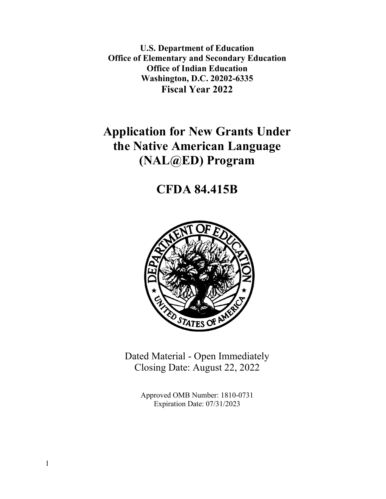**U.S. Department of Education Office of Elementary and Secondary Education Office of Indian Education Washington, D.C. 20202-6335 Fiscal Year 2022**

# **Application for New Grants Under the Native American Language (NAL@ED) Program**

# **CFDA 84.415B**



Dated Material - Open Immediately Closing Date: August 22, 2022

> Approved OMB Number: 1810-0731 Expiration Date: 07/31/2023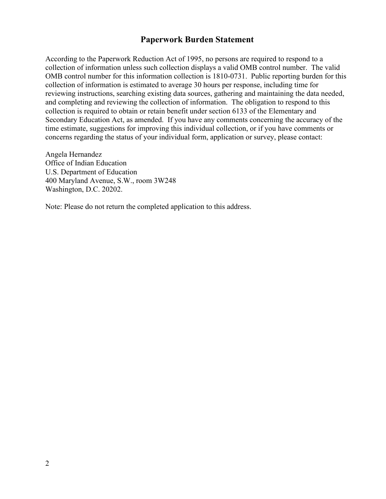# **Paperwork Burden Statement**

According to the Paperwork Reduction Act of 1995, no persons are required to respond to a collection of information unless such collection displays a valid OMB control number. The valid OMB control number for this information collection is 1810-0731. Public reporting burden for this collection of information is estimated to average 30 hours per response, including time for reviewing instructions, searching existing data sources, gathering and maintaining the data needed, and completing and reviewing the collection of information. The obligation to respond to this collection is required to obtain or retain benefit under section 6133 of the Elementary and Secondary Education Act, as amended. If you have any comments concerning the accuracy of the time estimate, suggestions for improving this individual collection, or if you have comments or concerns regarding the status of your individual form, application or survey, please contact:

Angela Hernandez Office of Indian Education U.S. Department of Education 400 Maryland Avenue, S.W., room 3W248 Washington, D.C. 20202.

Note: Please do not return the completed application to this address.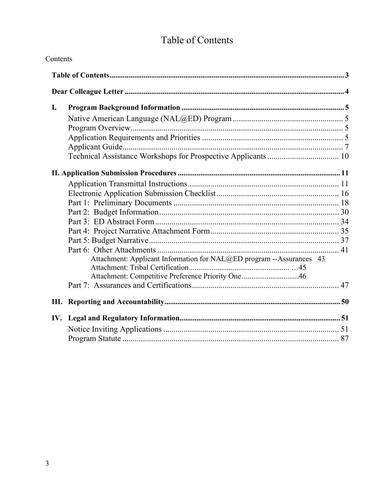# Table of Contents

<span id="page-2-0"></span>

| Contents |                                                                      |
|----------|----------------------------------------------------------------------|
|          |                                                                      |
|          |                                                                      |
| I.       |                                                                      |
|          |                                                                      |
|          |                                                                      |
|          |                                                                      |
|          |                                                                      |
|          |                                                                      |
|          |                                                                      |
|          |                                                                      |
|          |                                                                      |
|          |                                                                      |
|          |                                                                      |
|          |                                                                      |
|          |                                                                      |
|          |                                                                      |
|          |                                                                      |
|          | Attachment: Applicant Information for NAL@ED program --Assurances 43 |
|          |                                                                      |
|          | Attachment: Competitive Preference Priority One46                    |
|          |                                                                      |
|          |                                                                      |
|          |                                                                      |
|          |                                                                      |
|          |                                                                      |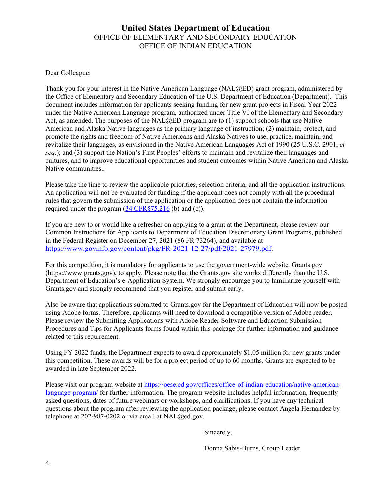# **United States Department of Education** OFFICE OF ELEMENTARY AND SECONDARY EDUCATION OFFICE OF INDIAN EDUCATION

<span id="page-3-0"></span>Dear Colleague:

Thank you for your interest in the Native American Language (NAL@ED) grant program, administered by the Office of Elementary and Secondary Education of the U.S. Department of Education (Department). This document includes information for applicants seeking funding for new grant projects in Fiscal Year 2022 under the Native American Language program, authorized under Title VI of the Elementary and Secondary Act, as amended. The purposes of the  $NAL@ED$  program are to (1) support schools that use Native American and Alaska Native languages as the primary language of instruction; (2) maintain, protect, and promote the rights and freedom of Native Americans and Alaska Natives to use, practice, maintain, and revitalize their languages, as envisioned in the Native American Languages Act of 1990 (25 U.S.C. 2901, *et seq*.); and (3) support the Nation's First Peoples' efforts to maintain and revitalize their languages and cultures, and to improve educational opportunities and student outcomes within Native American and Alaska Native communities..

Please take the time to review the applicable priorities, selection criteria, and all the application instructions. An application will not be evaluated for funding if the applicant does not comply with all the procedural rules that govern the submission of the application or the application does not contain the information required under the program [\(34 CFR§75.216](https://www.ecfr.gov/cgi-bin/retrieveECFR?gp=1&SID=367e1f94ddd42a155763f4a7fa1ee269&h=L&mc=true&n=pt34.1.75&r=PART&ty=HTML#se34.1.75_1216) (b) and (c)).

If you are new to or would like a refresher on applying to a grant at the Department, please review our Common Instructions for Applicants to Department of Education Discretionary Grant Programs, published in the Federal Register on December 27, 2021 (86 FR 73264), and available at [https://www.govinfo.gov/content/pkg/FR-2021-12-27/pdf/2021-27979.pdf.](https://www.govinfo.gov/content/pkg/FR-2021-12-27/pdf/2021-27979.pdf)

For this competition, it is mandatory for applicants to use the government-wide website, Grants.gov (https://www.grants.gov), to apply. Please note that the Grants.gov site works differently than the U.S. Department of Education's e-Application System. We strongly encourage you to familiarize yourself with Grants.gov and strongly recommend that you register and submit early.

Also be aware that applications submitted to Grants.gov for the Department of Education will now be posted using Adobe forms. Therefore, applicants will need to download a compatible version of Adobe reader. Please review the Submitting Applications with Adobe Reader Software and Education Submission Procedures and Tips for Applicants forms found within this package for further information and guidance related to this requirement.

Using FY 2022 funds, the Department expects to award approximately \$1.05 million for new grants under this competition. These awards will be for a project period of up to 60 months. Grants are expected to be awarded in late September 2022.

Please visit our program website at [https://oese.ed.gov/offices/office-of-indian-education/native-american](https://oese.ed.gov/offices/office-of-indian-education/native-american-language-program/)[language-program/](https://oese.ed.gov/offices/office-of-indian-education/native-american-language-program/) for further information. The program website includes helpful information, frequently asked questions, dates of future webinars or workshops, and clarifications. If you have any technical questions about the program after reviewing the application package, please contact Angela Hernandez by telephone at 202-987-0202 or via email at NAL@ed.gov.

Sincerely,

Donna Sabis-Burns, Group Leader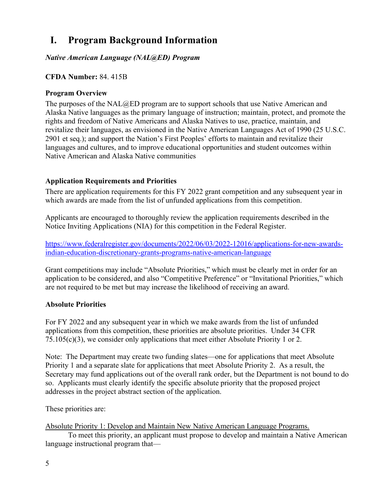# <span id="page-4-0"></span>**I. Program Background Information**

<span id="page-4-1"></span>*Native American Language (NAL@ED) Program* 

# **CFDA Number:** 84. 415B

# <span id="page-4-2"></span>**Program Overview**

The purposes of the NAL@ED program are to support schools that use Native American and Alaska Native languages as the primary language of instruction; maintain, protect, and promote the rights and freedom of Native Americans and Alaska Natives to use, practice, maintain, and revitalize their languages, as envisioned in the Native American Languages Act of 1990 (25 U.S.C. 2901 et seq.); and support the Nation's First Peoples' efforts to maintain and revitalize their languages and cultures, and to improve educational opportunities and student outcomes within Native American and Alaska Native communities

# <span id="page-4-3"></span>**Application Requirements and Priorities**

There are application requirements for this FY 2022 grant competition and any subsequent year in which awards are made from the list of unfunded applications from this competition.

Applicants are encouraged to thoroughly review the application requirements described in the Notice Inviting Applications (NIA) for this competition in the Federal Register.

[https://www.federalregister.gov/documents/2022/06/03/2022-12016/applications-for-new-awards](https://www.federalregister.gov/documents/2022/06/03/2022-12016/applications-for-new-awards-indian-education-discretionary-grants-programs-native-american-language)[indian-education-discretionary-grants-programs-native-american-language](https://www.federalregister.gov/documents/2022/06/03/2022-12016/applications-for-new-awards-indian-education-discretionary-grants-programs-native-american-language)

Grant competitions may include "Absolute Priorities," which must be clearly met in order for an application to be considered, and also "Competitive Preference" or "Invitational Priorities," which are not required to be met but may increase the likelihood of receiving an award.

# **Absolute Priorities**

For FY 2022 and any subsequent year in which we make awards from the list of unfunded applications from this competition, these priorities are absolute priorities. Under 34 CFR 75.105(c)(3), we consider only applications that meet either Absolute Priority 1 or 2.

Note: The Department may create two funding slates—one for applications that meet Absolute Priority 1 and a separate slate for applications that meet Absolute Priority 2. As a result, the Secretary may fund applications out of the overall rank order, but the Department is not bound to do so. Applicants must clearly identify the specific absolute priority that the proposed project addresses in the project abstract section of the application.

These priorities are:

Absolute Priority 1: Develop and Maintain New Native American Language Programs.

 To meet this priority, an applicant must propose to develop and maintain a Native American language instructional program that—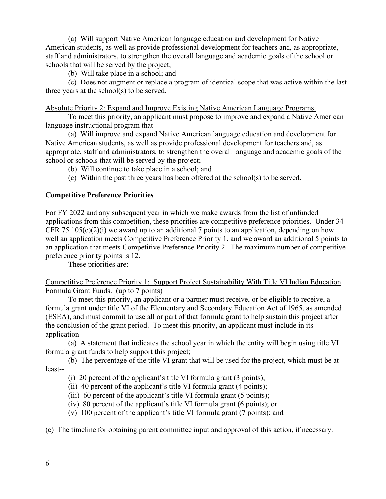(a) Will support Native American language education and development for Native American students, as well as provide professional development for teachers and, as appropriate, staff and administrators, to strengthen the overall language and academic goals of the school or schools that will be served by the project;

(b) Will take place in a school; and

(c) Does not augment or replace a program of identical scope that was active within the last three years at the school(s) to be served.

#### Absolute Priority 2: Expand and Improve Existing Native American Language Programs.

 To meet this priority, an applicant must propose to improve and expand a Native American language instructional program that—

 (a) Will improve and expand Native American language education and development for Native American students, as well as provide professional development for teachers and, as appropriate, staff and administrators, to strengthen the overall language and academic goals of the school or schools that will be served by the project;

(b) Will continue to take place in a school; and

(c) Within the past three years has been offered at the school(s) to be served.

# **Competitive Preference Priorities**

For FY 2022 and any subsequent year in which we make awards from the list of unfunded applications from this competition, these priorities are competitive preference priorities. Under 34 CFR 75.105(c)(2)(i) we award up to an additional 7 points to an application, depending on how well an application meets Competitive Preference Priority 1, and we award an additional 5 points to an application that meets Competitive Preference Priority 2. The maximum number of competitive preference priority points is 12.

These priorities are:

### Competitive Preference Priority 1: Support Project Sustainability With Title VI Indian Education Formula Grant Funds. (up to 7 points)

To meet this priority, an applicant or a partner must receive, or be eligible to receive, a formula grant under title VI of the Elementary and Secondary Education Act of 1965, as amended (ESEA), and must commit to use all or part of that formula grant to help sustain this project after the conclusion of the grant period. To meet this priority, an applicant must include in its application—

(a) A statement that indicates the school year in which the entity will begin using title VI formula grant funds to help support this project;

 (b) The percentage of the title VI grant that will be used for the project, which must be at least--

(i) 20 percent of the applicant's title VI formula grant (3 points);

(ii) 40 percent of the applicant's title VI formula grant (4 points);

(iii) 60 percent of the applicant's title VI formula grant (5 points);

(iv) 80 percent of the applicant's title VI formula grant (6 points); or

(v) 100 percent of the applicant's title VI formula grant (7 points); and

(c) The timeline for obtaining parent committee input and approval of this action, if necessary.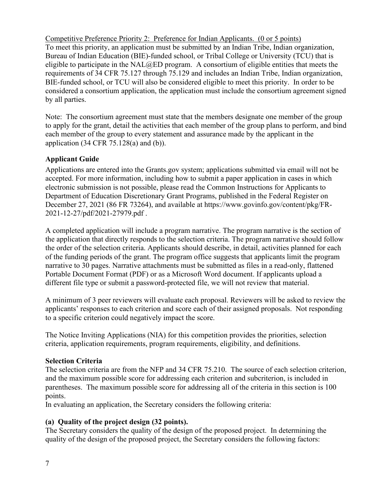Competitive Preference Priority 2: Preference for Indian Applicants. (0 or 5 points) To meet this priority, an application must be submitted by an Indian Tribe, Indian organization, Bureau of Indian Education (BIE)-funded school, or Tribal College or University (TCU) that is eligible to participate in the  $NAL@ED$  program. A consortium of eligible entities that meets the requirements of 34 CFR 75.127 through 75.129 and includes an Indian Tribe, Indian organization, BIE-funded school, or TCU will also be considered eligible to meet this priority. In order to be considered a consortium application, the application must include the consortium agreement signed by all parties.

Note: The consortium agreement must state that the members designate one member of the group to apply for the grant, detail the activities that each member of the group plans to perform, and bind each member of the group to every statement and assurance made by the applicant in the application  $(34 \text{ CFR } 75.128(a)$  and  $(b)$ ).

# <span id="page-6-0"></span>**Applicant Guide**

Applications are entered into the Grants.gov system; applications submitted via email will not be accepted. For more information, including how to submit a paper application in cases in which electronic submission is not possible, please read the Common Instructions for Applicants to Department of Education Discretionary Grant Programs, published in the Federal Register on December 27, 2021 (86 FR 73264), and available at https://www.govinfo.gov/content/pkg/FR-2021-12-27/pdf/2021-27979.pdf .

A completed application will include a program narrative. The program narrative is the section of the application that directly responds to the selection criteria. The program narrative should follow the order of the selection criteria. Applicants should describe, in detail, activities planned for each of the funding periods of the grant. The program office suggests that applicants limit the program narrative to 30 pages. Narrative attachments must be submitted as files in a read-only, flattened Portable Document Format (PDF) or as a Microsoft Word document. If applicants upload a different file type or submit a password-protected file, we will not review that material.

A minimum of 3 peer reviewers will evaluate each proposal. Reviewers will be asked to review the applicants' responses to each criterion and score each of their assigned proposals. Not responding to a specific criterion could negatively impact the score.

The Notice Inviting Applications (NIA) for this competition provides the priorities, selection criteria, application requirements, program requirements, eligibility, and definitions.

# **Selection Criteria**

The selection criteria are from the NFP and 34 CFR 75.210. The source of each selection criterion, and the maximum possible score for addressing each criterion and subcriterion, is included in parentheses. The maximum possible score for addressing all of the criteria in this section is 100 points.

In evaluating an application, the Secretary considers the following criteria:

# **(a) Quality of the project design (32 points).**

The Secretary considers the quality of the design of the proposed project. In determining the quality of the design of the proposed project, the Secretary considers the following factors: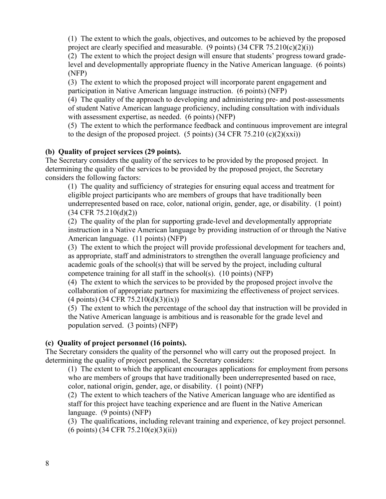(1) The extent to which the goals, objectives, and outcomes to be achieved by the proposed project are clearly specified and measurable. (9 points)  $(34 \text{ CFR } 75.210(c)(2)(i))$ 

(2) The extent to which the project design will ensure that students' progress toward gradelevel and developmentally appropriate fluency in the Native American language. (6 points) (NFP)

(3) The extent to which the proposed project will incorporate parent engagement and participation in Native American language instruction. (6 points) (NFP)

(4) The quality of the approach to developing and administering pre- and post-assessments of student Native American language proficiency, including consultation with individuals with assessment expertise, as needed. (6 points) (NFP)

(5) The extent to which the performance feedback and continuous improvement are integral to the design of the proposed project. (5 points)  $(34 \text{ CFR } 75.210 \text{ (c)}(2)(\text{xxi}))$ 

# **(b) Quality of project services (29 points).**

The Secretary considers the quality of the services to be provided by the proposed project. In determining the quality of the services to be provided by the proposed project, the Secretary considers the following factors:

(1) The quality and sufficiency of strategies for ensuring equal access and treatment for eligible project participants who are members of groups that have traditionally been underrepresented based on race, color, national origin, gender, age, or disability. (1 point) (34 CFR 75.210(d)(2))

(2) The quality of the plan for supporting grade-level and developmentally appropriate instruction in a Native American language by providing instruction of or through the Native American language. (11 points) (NFP)

(3) The extent to which the project will provide professional development for teachers and, as appropriate, staff and administrators to strengthen the overall language proficiency and academic goals of the school(s) that will be served by the project, including cultural competence training for all staff in the school(s). (10 points) (NFP)

(4) The extent to which the services to be provided by the proposed project involve the collaboration of appropriate partners for maximizing the effectiveness of project services. (4 points) (34 CFR 75.210(d)(3)(ix))

(5) The extent to which the percentage of the school day that instruction will be provided in the Native American language is ambitious and is reasonable for the grade level and population served. (3 points) (NFP)

# **(c) Quality of project personnel (16 points).**

The Secretary considers the quality of the personnel who will carry out the proposed project. In determining the quality of project personnel, the Secretary considers:

(1) The extent to which the applicant encourages applications for employment from persons who are members of groups that have traditionally been underrepresented based on race, color, national origin, gender, age, or disability. (1 point) (NFP)

(2) The extent to which teachers of the Native American language who are identified as staff for this project have teaching experience and are fluent in the Native American language. (9 points) (NFP)

(3) The qualifications, including relevant training and experience, of key project personnel. (6 points) (34 CFR 75.210(e)(3)(ii))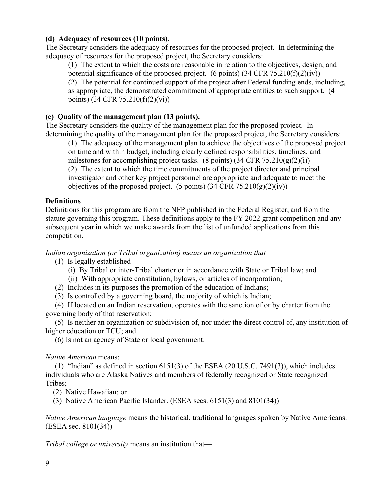### **(d) Adequacy of resources (10 points).**

The Secretary considers the adequacy of resources for the proposed project. In determining the adequacy of resources for the proposed project, the Secretary considers:

(1) The extent to which the costs are reasonable in relation to the objectives, design, and potential significance of the proposed project. (6 points)  $(34 \text{ CFR } 75.210 \text{ (f)}(2) \text{ (iv)})$ (2) The potential for continued support of the project after Federal funding ends, including, as appropriate, the demonstrated commitment of appropriate entities to such support. (4 points) (34 CFR 75.210(f)(2)(vi))

# **(e) Quality of the management plan (13 points).**

The Secretary considers the quality of the management plan for the proposed project. In determining the quality of the management plan for the proposed project, the Secretary considers:

(1) The adequacy of the management plan to achieve the objectives of the proposed project on time and within budget, including clearly defined responsibilities, timelines, and milestones for accomplishing project tasks. (8 points)  $(34 \text{ CFR } 75.210(g)(2)(i))$ (2) The extent to which the time commitments of the project director and principal investigator and other key project personnel are appropriate and adequate to meet the

objectives of the proposed project. (5 points)  $(34 \text{ CFR } 75.210(g)(2)(iv))$ 

#### **Definitions**

Definitions for this program are from the NFP published in the Federal Register, and from the statute governing this program. These definitions apply to the FY 2022 grant competition and any subsequent year in which we make awards from the list of unfunded applications from this competition.

*Indian organization (or Tribal organization) means an organization that—*

(1) Is legally established—

(i) By Tribal or inter-Tribal charter or in accordance with State or Tribal law; and

(ii) With appropriate constitution, bylaws, or articles of incorporation;

(2) Includes in its purposes the promotion of the education of Indians;

(3) Is controlled by a governing board, the majority of which is Indian;

 (4) If located on an Indian reservation, operates with the sanction of or by charter from the governing body of that reservation;

 (5) Is neither an organization or subdivision of, nor under the direct control of, any institution of higher education or TCU; and

(6) Is not an agency of State or local government.

#### *Native American* means:

 (1) "Indian" as defined in section 6151(3) of the ESEA (20 U.S.C. 7491(3)), which includes individuals who are Alaska Natives and members of federally recognized or State recognized Tribes;

(2) Native Hawaiian; or

(3) Native American Pacific Islander. (ESEA secs. 6151(3) and 8101(34))

*Native American language* means the historical, traditional languages spoken by Native Americans. (ESEA sec. 8101(34))

*Tribal college or university* means an institution that—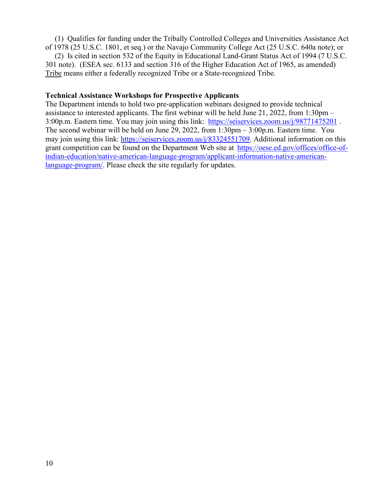(1) Qualifies for funding under the Tribally Controlled Colleges and Universities Assistance Act of 1978 (25 U.S.C. 1801, et seq.) or the Navajo Community College Act (25 U.S.C. 640a note); or

 (2) Is cited in section 532 of the Equity in Educational Land-Grant Status Act of 1994 (7 U.S.C. 301 note). (ESEA sec. 6133 and section 316 of the Higher Education Act of 1965, as amended) Tribe means either a federally recognized Tribe or a State-recognized Tribe.

#### <span id="page-9-0"></span>**Technical Assistance Workshops for Prospective Applicants**

The Department intends to hold two pre-application webinars designed to provide technical assistance to interested applicants. The first webinar will be held June 21, 2022, from 1:30pm – 3:00p.m. Eastern time. You may join using this link: <https://seiservices.zoom.us/j/98771475201>. The second webinar will be held on June 29, 2022, from 1:30pm – 3:00p.m. Eastern time. You may join using this link: [https://seiservices.zoom.us/j/83324551709.](https://seiservices.zoom.us/j/83324551709) Additional information on this grant competition can be found on the Department Web site at [https://oese.ed.gov/offices/office-of](http://www2.ed.gov/programs/indiandemo/applicant.html)[indian-education/native-american-language-program/applicant-information-native-american](http://www2.ed.gov/programs/indiandemo/applicant.html)[language-program/. P](http://www2.ed.gov/programs/indiandemo/applicant.html)lease check the site regularly for updates.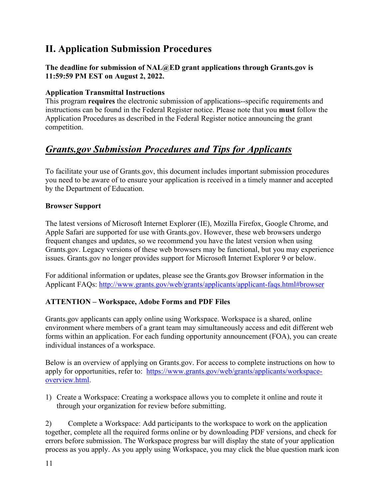# <span id="page-10-0"></span>**II. Application Submission Procedures**

**The deadline for submission of NAL@ED grant applications through Grants.gov is 11:59:59 PM EST on August 2, 2022.**

# <span id="page-10-1"></span>**Application Transmittal Instructions**

This program **requires** the electronic submission of applications--specific requirements and instructions can be found in the Federal Register notice. Please note that you **must** follow the Application Procedures as described in the Federal Register notice announcing the grant competition.

# *Grants.gov Submission Procedures and Tips for Applicants*

To facilitate your use of Grants.gov, this document includes important submission procedures you need to be aware of to ensure your application is received in a timely manner and accepted by the Department of Education.

### **Browser Support**

The latest versions of Microsoft Internet Explorer (IE), Mozilla Firefox, Google Chrome, and Apple Safari are supported for use with Grants.gov. However, these web browsers undergo frequent changes and updates, so we recommend you have the latest version when using Grants.gov. Legacy versions of these web browsers may be functional, but you may experience issues. Grants.gov no longer provides support for Microsoft Internet Explorer 9 or below.

For additional information or updates, please see the Grants.gov Browser information in the Applicant FAQs:<http://www.grants.gov/web/grants/applicants/applicant-faqs.html#browser>

# **ATTENTION – Workspace, Adobe Forms and PDF Files**

Grants.gov applicants can apply online using Workspace. Workspace is a shared, online environment where members of a grant team may simultaneously access and edit different web forms within an application. For each funding opportunity announcement (FOA), you can create individual instances of a workspace.

Below is an overview of applying on Grants.gov. For access to complete instructions on how to apply for opportunities, refer to: [https://www.grants.gov/web/grants/applicants/workspace](https://www.grants.gov/web/grants/applicants/workspace-overview.html)[overview.html.](https://www.grants.gov/web/grants/applicants/workspace-overview.html)

1) Create a Workspace: Creating a workspace allows you to complete it online and route it through your organization for review before submitting.

2) Complete a Workspace: Add participants to the workspace to work on the application together, complete all the required forms online or by downloading PDF versions, and check for errors before submission. The Workspace progress bar will display the state of your application process as you apply. As you apply using Workspace, you may click the blue question mark icon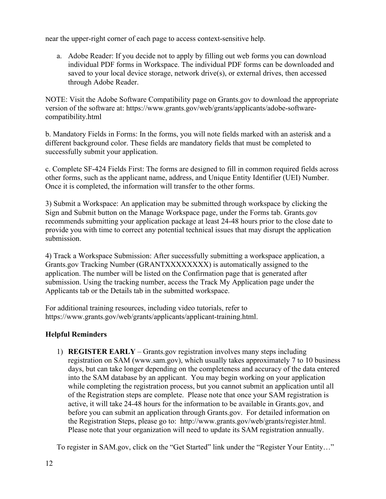near the upper-right corner of each page to access context-sensitive help.

a. Adobe Reader: If you decide not to apply by filling out web forms you can download individual PDF forms in Workspace. The individual PDF forms can be downloaded and saved to your local device storage, network drive(s), or external drives, then accessed through Adobe Reader.

NOTE: Visit the Adobe Software Compatibility page on Grants.gov to download the appropriate version of the software at: https://www.grants.gov/web/grants/applicants/adobe-softwarecompatibility.html

b. Mandatory Fields in Forms: In the forms, you will note fields marked with an asterisk and a different background color. These fields are mandatory fields that must be completed to successfully submit your application.

c. Complete SF-424 Fields First: The forms are designed to fill in common required fields across other forms, such as the applicant name, address, and Unique Entity Identifier (UEI) Number. Once it is completed, the information will transfer to the other forms.

3) Submit a Workspace: An application may be submitted through workspace by clicking the Sign and Submit button on the Manage Workspace page, under the Forms tab. Grants.gov recommends submitting your application package at least 24-48 hours prior to the close date to provide you with time to correct any potential technical issues that may disrupt the application submission.

4) Track a Workspace Submission: After successfully submitting a workspace application, a Grants.gov Tracking Number (GRANTXXXXXXXX) is automatically assigned to the application. The number will be listed on the Confirmation page that is generated after submission. Using the tracking number, access the Track My Application page under the Applicants tab or the Details tab in the submitted workspace.

For additional training resources, including video tutorials, refer to https://www.grants.gov/web/grants/applicants/applicant-training.html.

# **Helpful Reminders**

1) **REGISTER EARLY** – Grants.gov registration involves many steps including registration on SAM (www.sam.gov), which usually takes approximately 7 to 10 business days, but can take longer depending on the completeness and accuracy of the data entered into the SAM database by an applicant. You may begin working on your application while completing the registration process, but you cannot submit an application until all of the Registration steps are complete. Please note that once your SAM registration is active, it will take 24-48 hours for the information to be available in Grants.gov, and before you can submit an application through Grants.gov. For detailed information on the Registration Steps, please go to: http://www.grants.gov/web/grants/register.html. Please note that your organization will need to update its SAM registration annually.

To register in SAM.gov, click on the "Get Started" link under the "Register Your Entity..."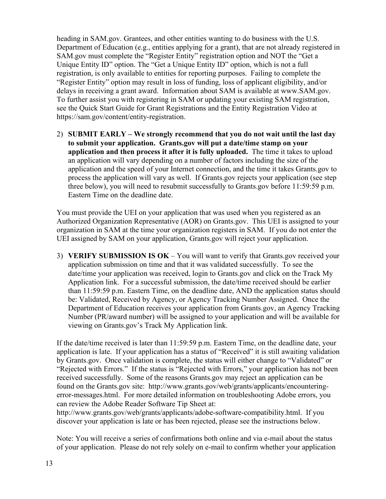heading in SAM.gov. Grantees, and other entities wanting to do business with the U.S. Department of Education (e.g., entities applying for a grant), that are not already registered in SAM.gov must complete the "Register Entity" registration option and NOT the "Get a Unique Entity ID" option. The "Get a Unique Entity ID" option, which is not a full registration, is only available to entities for reporting purposes. Failing to complete the "Register Entity" option may result in loss of funding, loss of applicant eligibility, and/or delays in receiving a grant award. Information about SAM is available at www.SAM.gov. To further assist you with registering in SAM or updating your existing SAM registration, see the Quick Start Guide for Grant Registrations and the Entity Registration Video at https://sam.gov/content/entity-registration.

2) **SUBMIT EARLY – We strongly recommend that you do not wait until the last day to submit your application. Grants.gov will put a date/time stamp on your application and then process it after it is fully uploaded.** The time it takes to upload an application will vary depending on a number of factors including the size of the application and the speed of your Internet connection, and the time it takes Grants.gov to process the application will vary as well. If Grants.gov rejects your application (see step three below), you will need to resubmit successfully to Grants.gov before 11:59:59 p.m. Eastern Time on the deadline date.

You must provide the UEI on your application that was used when you registered as an Authorized Organization Representative (AOR) on Grants.gov. This UEI is assigned to your organization in SAM at the time your organization registers in SAM. If you do not enter the UEI assigned by SAM on your application, Grants.gov will reject your application.

3) **VERIFY SUBMISSION IS OK** – You will want to verify that Grants.gov received your application submission on time and that it was validated successfully. To see the date/time your application was received, login to Grants.gov and click on the Track My Application link. For a successful submission, the date/time received should be earlier than 11:59:59 p.m. Eastern Time, on the deadline date, AND the application status should be: Validated, Received by Agency, or Agency Tracking Number Assigned. Once the Department of Education receives your application from Grants.gov, an Agency Tracking Number (PR/award number) will be assigned to your application and will be available for viewing on Grants.gov's Track My Application link.

If the date/time received is later than 11:59:59 p.m. Eastern Time, on the deadline date, your application is late. If your application has a status of "Received" it is still awaiting validation by Grants.gov. Once validation is complete, the status will either change to "Validated" or "Rejected with Errors." If the status is "Rejected with Errors," your application has not been received successfully. Some of the reasons Grants.gov may reject an application can be found on the Grants.gov site: http://www.grants.gov/web/grants/applicants/encounteringerror-messages.html. For more detailed information on troubleshooting Adobe errors, you can review the Adobe Reader Software Tip Sheet at:

http://www.grants.gov/web/grants/applicants/adobe-software-compatibility.html. If you discover your application is late or has been rejected, please see the instructions below.

Note: You will receive a series of confirmations both online and via e-mail about the status of your application. Please do not rely solely on e-mail to confirm whether your application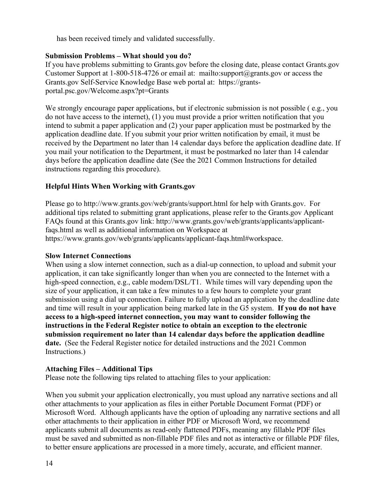has been received timely and validated successfully.

# **Submission Problems – What should you do?**

If you have problems submitting to Grants.gov before the closing date, please contact Grants.gov Customer Support at 1-800-518-4726 or email at: mailto:support@grants.gov or access the Grants.gov Self-Service Knowledge Base web portal at: https://grantsportal.psc.gov/Welcome.aspx?pt=Grants

We strongly encourage paper applications, but if electronic submission is not possible (e.g., you do not have access to the internet), (1) you must provide a prior written notification that you intend to submit a paper application and (2) your paper application must be postmarked by the application deadline date. If you submit your prior written notification by email, it must be received by the Department no later than 14 calendar days before the application deadline date. If you mail your notification to the Department, it must be postmarked no later than 14 calendar days before the application deadline date (See the 2021 Common Instructions for detailed instructions regarding this procedure).

# **Helpful Hints When Working with Grants.gov**

Please go to http://www.grants.gov/web/grants/support.html for help with Grants.gov. For additional tips related to submitting grant applications, please refer to the Grants.gov Applicant FAQs found at this Grants.gov link: http://www.grants.gov/web/grants/applicants/applicantfaqs.html as well as additional information on Workspace at https://www.grants.gov/web/grants/applicants/applicant-faqs.html#workspace.

# **Slow Internet Connections**

When using a slow internet connection, such as a dial-up connection, to upload and submit your application, it can take significantly longer than when you are connected to the Internet with a high-speed connection, e.g., cable modem/DSL/T1. While times will vary depending upon the size of your application, it can take a few minutes to a few hours to complete your grant submission using a dial up connection. Failure to fully upload an application by the deadline date and time will result in your application being marked late in the G5 system. **If you do not have access to a high-speed internet connection, you may want to consider following the instructions in the Federal Register notice to obtain an exception to the electronic submission requirement no later than 14 calendar days before the application deadline date.** (See the Federal Register notice for detailed instructions and the 2021 Common Instructions.)

# **Attaching Files – Additional Tips**

Please note the following tips related to attaching files to your application:

When you submit your application electronically, you must upload any narrative sections and all other attachments to your application as files in either Portable Document Format (PDF) or Microsoft Word. Although applicants have the option of uploading any narrative sections and all other attachments to their application in either PDF or Microsoft Word, we recommend applicants submit all documents as read-only flattened PDFs, meaning any fillable PDF files must be saved and submitted as non-fillable PDF files and not as interactive or fillable PDF files, to better ensure applications are processed in a more timely, accurate, and efficient manner.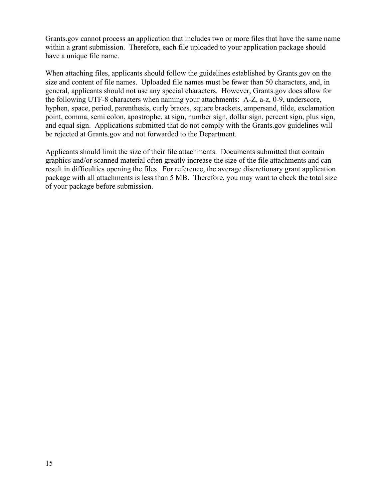Grants.gov cannot process an application that includes two or more files that have the same name within a grant submission. Therefore, each file uploaded to your application package should have a unique file name.

When attaching files, applicants should follow the guidelines established by Grants.gov on the size and content of file names. Uploaded file names must be fewer than 50 characters, and, in general, applicants should not use any special characters. However, Grants.gov does allow for the following UTF-8 characters when naming your attachments: A-Z, a-z, 0-9, underscore, hyphen, space, period, parenthesis, curly braces, square brackets, ampersand, tilde, exclamation point, comma, semi colon, apostrophe, at sign, number sign, dollar sign, percent sign, plus sign, and equal sign. Applications submitted that do not comply with the Grants.gov guidelines will be rejected at Grants.gov and not forwarded to the Department.

Applicants should limit the size of their file attachments. Documents submitted that contain graphics and/or scanned material often greatly increase the size of the file attachments and can result in difficulties opening the files. For reference, the average discretionary grant application package with all attachments is less than 5 MB. Therefore, you may want to check the total size of your package before submission.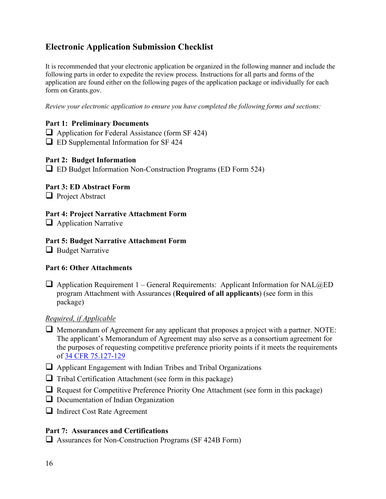# <span id="page-15-0"></span>**Electronic Application Submission Checklist**

It is recommended that your electronic application be organized in the following manner and include the following parts in order to expedite the review process. Instructions for all parts and forms of the application are found either on the following pages of the application package or individually for each form on Grants.gov.

*Review your electronic application to ensure you have completed the following forms and sections:*

### **Part 1: Preliminary Documents**

 $\Box$  Application for Federal Assistance (form SF 424) ED Supplemental Information for SF 424

#### **Part 2: Budget Information**

ED Budget Information Non-Construction Programs (ED Form 524)

### **Part 3: ED Abstract Form**

**Project Abstract** 

### **Part 4: Project Narrative Attachment Form**

 $\Box$  Application Narrative

### **Part 5: Budget Narrative Attachment Form**

 $\Box$  Budget Narrative

# **Part 6: Other Attachments**

 $\Box$  Application Requirement 1 – General Requirements: Applicant Information for NAL $@ED$ program Attachment with Assurances (**Required of all applicants**) (see form in this package)

#### *Required, if Applicable*

- $\Box$  Memorandum of Agreement for any applicant that proposes a project with a partner. NOTE: The applicant's Memorandum of Agreement may also serve as a consortium agreement for the purposes of requesting competitive preference priority points if it meets the requirements of [34 CFR 75.127-129](https://www.ecfr.gov/current/title-34/subtitle-A/part-75/subpart-C/subject-group-ECFR62b47a3afdf9b5d)
- $\Box$  Applicant Engagement with Indian Tribes and Tribal Organizations
- $\Box$  Tribal Certification Attachment (see form in this package)
- $\Box$  Request for Competitive Preference Priority One Attachment (see form in this package)
- D Documentation of Indian Organization
- **Indirect Cost Rate Agreement**

### **Part 7: Assurances and Certifications**

 $\Box$  Assurances for Non-Construction Programs (SF 424B Form)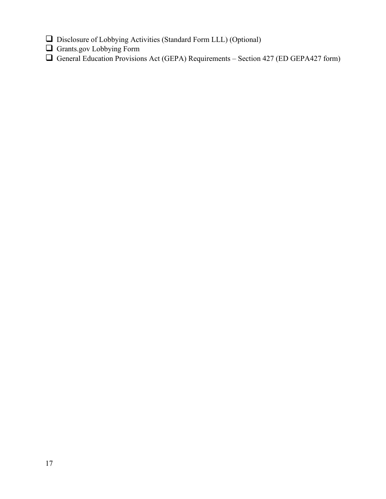- Disclosure of Lobbying Activities (Standard Form LLL) (Optional)
- Grants.gov Lobbying Form
- General Education Provisions Act (GEPA) Requirements Section 427 (ED GEPA427 form)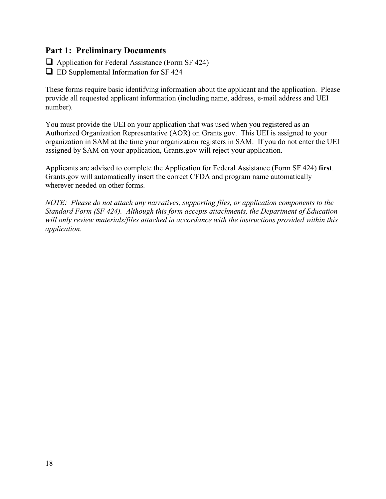# <span id="page-17-0"></span>**Part 1: Preliminary Documents**

 $\Box$  Application for Federal Assistance (Form SF 424)

 $\Box$  ED Supplemental Information for SF 424

These forms require basic identifying information about the applicant and the application. Please provide all requested applicant information (including name, address, e-mail address and UEI number).

You must provide the UEI on your application that was used when you registered as an Authorized Organization Representative (AOR) on Grants.gov. This UEI is assigned to your organization in SAM at the time your organization registers in SAM. If you do not enter the UEI assigned by SAM on your application, Grants.gov will reject your application.

Applicants are advised to complete the Application for Federal Assistance (Form SF 424) **first**. Grants.gov will automatically insert the correct CFDA and program name automatically wherever needed on other forms.

*NOTE: Please do not attach any narratives, supporting files, or application components to the Standard Form (SF 424). Although this form accepts attachments, the Department of Education will only review materials/files attached in accordance with the instructions provided within this application.*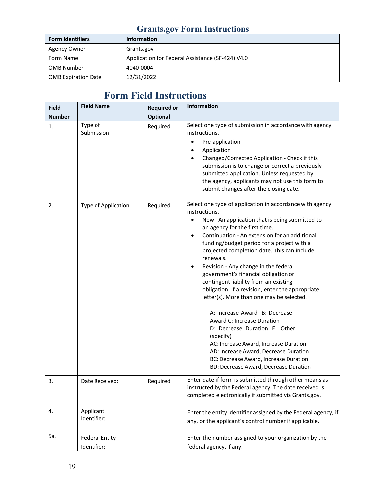# **Grants.gov Form Instructions**

| <b>Form Identifiers</b>    | <b>Information</b>                               |  |  |
|----------------------------|--------------------------------------------------|--|--|
| <b>Agency Owner</b>        | Grants.gov                                       |  |  |
| Form Name                  | Application for Federal Assistance (SF-424) V4.0 |  |  |
| <b>OMB Number</b>          | 4040-0004                                        |  |  |
| <b>OMB Expiration Date</b> | 12/31/2022                                       |  |  |

# **Form Field Instructions**

| <b>Field</b>  | <b>Field Name</b>                    | <b>Required or</b> | <b>Information</b>                                                                                                                                                                                                                                                                                                                                                                                                                                                                                                                                                                                                                                                                                                                                                                                                                                                         |
|---------------|--------------------------------------|--------------------|----------------------------------------------------------------------------------------------------------------------------------------------------------------------------------------------------------------------------------------------------------------------------------------------------------------------------------------------------------------------------------------------------------------------------------------------------------------------------------------------------------------------------------------------------------------------------------------------------------------------------------------------------------------------------------------------------------------------------------------------------------------------------------------------------------------------------------------------------------------------------|
| <b>Number</b> |                                      | <b>Optional</b>    |                                                                                                                                                                                                                                                                                                                                                                                                                                                                                                                                                                                                                                                                                                                                                                                                                                                                            |
| 1.            | Type of<br>Submission:               | Required           | Select one type of submission in accordance with agency<br>instructions.<br>Pre-application<br>٠<br>Application<br>Changed/Corrected Application - Check if this<br>submission is to change or correct a previously<br>submitted application. Unless requested by<br>the agency, applicants may not use this form to<br>submit changes after the closing date.                                                                                                                                                                                                                                                                                                                                                                                                                                                                                                             |
| 2.            | Type of Application                  | Required           | Select one type of application in accordance with agency<br>instructions.<br>New - An application that is being submitted to<br>$\bullet$<br>an agency for the first time.<br>Continuation - An extension for an additional<br>$\bullet$<br>funding/budget period for a project with a<br>projected completion date. This can include<br>renewals.<br>Revision - Any change in the federal<br>$\bullet$<br>government's financial obligation or<br>contingent liability from an existing<br>obligation. If a revision, enter the appropriate<br>letter(s). More than one may be selected.<br>A: Increase Award B: Decrease<br>Award C: Increase Duration<br>D: Decrease Duration E: Other<br>(specify)<br>AC: Increase Award, Increase Duration<br>AD: Increase Award, Decrease Duration<br>BC: Decrease Award, Increase Duration<br>BD: Decrease Award, Decrease Duration |
| 3.            | Date Received:                       | Required           | Enter date if form is submitted through other means as<br>instructed by the Federal agency. The date received is<br>completed electronically if submitted via Grants.gov.                                                                                                                                                                                                                                                                                                                                                                                                                                                                                                                                                                                                                                                                                                  |
| 4.            | Applicant<br>Identifier:             |                    | Enter the entity identifier assigned by the Federal agency, if<br>any, or the applicant's control number if applicable.                                                                                                                                                                                                                                                                                                                                                                                                                                                                                                                                                                                                                                                                                                                                                    |
| 5a.           | <b>Federal Entity</b><br>Identifier: |                    | Enter the number assigned to your organization by the<br>federal agency, if any.                                                                                                                                                                                                                                                                                                                                                                                                                                                                                                                                                                                                                                                                                                                                                                                           |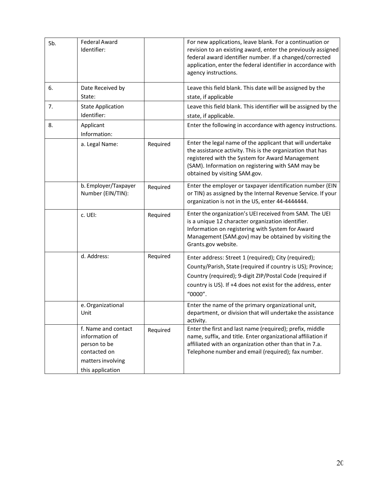| 5b. | Federal Award<br>Identifier:                                                               |          | For new applications, leave blank. For a continuation or<br>revision to an existing award, enter the previously assigned<br>federal award identifier number. If a changed/corrected<br>application, enter the federal identifier in accordance with<br>agency instructions. |
|-----|--------------------------------------------------------------------------------------------|----------|-----------------------------------------------------------------------------------------------------------------------------------------------------------------------------------------------------------------------------------------------------------------------------|
| 6.  | Date Received by<br>State:                                                                 |          | Leave this field blank. This date will be assigned by the<br>state, if applicable                                                                                                                                                                                           |
| 7.  | <b>State Application</b><br>Identifier:                                                    |          | Leave this field blank. This identifier will be assigned by the<br>state, if applicable.                                                                                                                                                                                    |
| 8.  | Applicant<br>Information:                                                                  |          | Enter the following in accordance with agency instructions.                                                                                                                                                                                                                 |
|     | a. Legal Name:                                                                             | Required | Enter the legal name of the applicant that will undertake<br>the assistance activity. This is the organization that has<br>registered with the System for Award Management<br>(SAM). Information on registering with SAM may be<br>obtained by visiting SAM.gov.            |
|     | b. Employer/Taxpayer<br>Number (EIN/TIN):                                                  | Required | Enter the employer or taxpayer identification number (EIN<br>or TIN) as assigned by the Internal Revenue Service. If your<br>organization is not in the US, enter 44-4444444.                                                                                               |
|     | c. UEI:                                                                                    | Required | Enter the organization's UEI received from SAM. The UEI<br>is a unique 12 character organization identifier.<br>Information on registering with System for Award<br>Management (SAM.gov) may be obtained by visiting the<br>Grants.gov website.                             |
|     | d. Address:                                                                                | Required | Enter address: Street 1 (required); City (required);<br>County/Parish, State (required if country is US); Province;<br>Country (required); 9-digit ZIP/Postal Code (required if<br>country is US). If +4 does not exist for the address, enter<br>"0000".                   |
|     | e. Organizational<br>Unit                                                                  |          | Enter the name of the primary organizational unit,<br>department, or division that will undertake the assistance<br>activity.                                                                                                                                               |
|     | f. Name and contact<br>information of<br>person to be<br>contacted on<br>matters involving | Required | Enter the first and last name (required); prefix, middle<br>name, suffix, and title. Enter organizational affiliation if<br>affiliated with an organization other than that in 7.a.<br>Telephone number and email (required); fax number.                                   |
|     | this application                                                                           |          |                                                                                                                                                                                                                                                                             |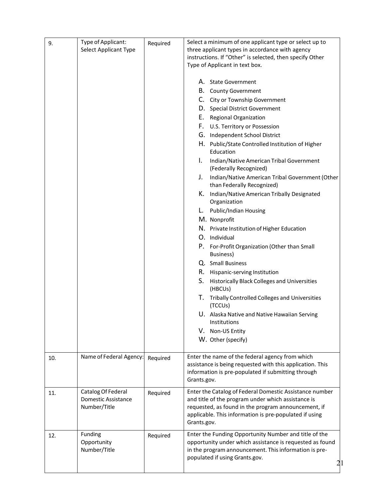| 9.  | Type of Applicant:<br>Select Applicant Type               | Required | Select a minimum of one applicant type or select up to<br>three applicant types in accordance with agency<br>instructions. If "Other" is selected, then specify Other<br>Type of Applicant in text box.                                                                                                                                                                                                                                                                                                                                                                                                                                                                                                                                                                                                                                                                                                                                                      |
|-----|-----------------------------------------------------------|----------|--------------------------------------------------------------------------------------------------------------------------------------------------------------------------------------------------------------------------------------------------------------------------------------------------------------------------------------------------------------------------------------------------------------------------------------------------------------------------------------------------------------------------------------------------------------------------------------------------------------------------------------------------------------------------------------------------------------------------------------------------------------------------------------------------------------------------------------------------------------------------------------------------------------------------------------------------------------|
|     |                                                           |          | A. State Government<br><b>B.</b> County Government<br>C. City or Township Government<br>D. Special District Government<br>E. Regional Organization<br>F. U.S. Territory or Possession<br>G. Independent School District<br>H. Public/State Controlled Institution of Higher<br>Education<br>I.<br>Indian/Native American Tribal Government<br>(Federally Recognized)<br>Indian/Native American Tribal Government (Other<br>J.<br>than Federally Recognized)<br>K. Indian/Native American Tribally Designated<br>Organization<br>L. Public/Indian Housing<br>M. Nonprofit<br>N. Private Institution of Higher Education<br>O. Individual<br>P. For-Profit Organization (Other than Small<br>Business)<br>Q. Small Business<br>R. Hispanic-serving Institution<br>S.<br>Historically Black Colleges and Universities<br>(HBCUs)<br>T. Tribally Controlled Colleges and Universities<br>(TCCUs)<br>U. Alaska Native and Native Hawaiian Serving<br>Institutions |
| 10. | Name of Federal Agency:                                   | Required | V. Non-US Entity<br>W. Other (specify)<br>Enter the name of the federal agency from which                                                                                                                                                                                                                                                                                                                                                                                                                                                                                                                                                                                                                                                                                                                                                                                                                                                                    |
|     |                                                           |          | assistance is being requested with this application. This<br>information is pre-populated if submitting through<br>Grants.gov.                                                                                                                                                                                                                                                                                                                                                                                                                                                                                                                                                                                                                                                                                                                                                                                                                               |
| 11. | Catalog Of Federal<br>Domestic Assistance<br>Number/Title | Required | Enter the Catalog of Federal Domestic Assistance number<br>and title of the program under which assistance is<br>requested, as found in the program announcement, if<br>applicable. This information is pre-populated if using<br>Grants.gov.                                                                                                                                                                                                                                                                                                                                                                                                                                                                                                                                                                                                                                                                                                                |
| 12. | Funding<br>Opportunity<br>Number/Title                    | Required | Enter the Funding Opportunity Number and title of the<br>opportunity under which assistance is requested as found<br>in the program announcement. This information is pre-<br>populated if using Grants.gov.                                                                                                                                                                                                                                                                                                                                                                                                                                                                                                                                                                                                                                                                                                                                                 |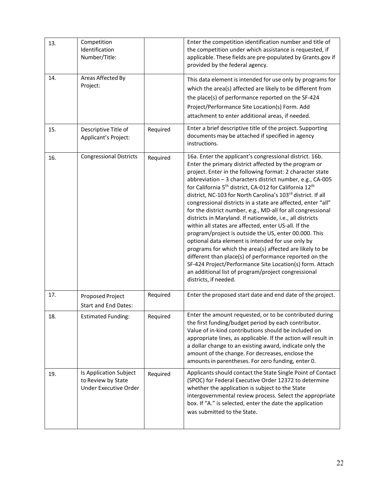| 13. | Competition<br>Identification<br>Number/Title:                        |          | Enter the competition identification number and title of<br>the competition under which assistance is requested, if<br>applicable. These fields are pre-populated by Grants.gov if<br>provided by the federal agency.                                                                                                                                                                                                                                                                                                                                                                                                                                                                                                                                                                                                                                                                                                                                                                                                             |
|-----|-----------------------------------------------------------------------|----------|-----------------------------------------------------------------------------------------------------------------------------------------------------------------------------------------------------------------------------------------------------------------------------------------------------------------------------------------------------------------------------------------------------------------------------------------------------------------------------------------------------------------------------------------------------------------------------------------------------------------------------------------------------------------------------------------------------------------------------------------------------------------------------------------------------------------------------------------------------------------------------------------------------------------------------------------------------------------------------------------------------------------------------------|
| 14. | Areas Affected By<br>Project:                                         |          | This data element is intended for use only by programs for<br>which the area(s) affected are likely to be different from<br>the place(s) of performance reported on the SF-424<br>Project/Performance Site Location(s) Form. Add<br>attachment to enter additional areas, if needed.                                                                                                                                                                                                                                                                                                                                                                                                                                                                                                                                                                                                                                                                                                                                              |
| 15. | Descriptive Title of<br>Applicant's Project:                          | Required | Enter a brief descriptive title of the project. Supporting<br>documents may be attached if specified in agency<br>instructions.                                                                                                                                                                                                                                                                                                                                                                                                                                                                                                                                                                                                                                                                                                                                                                                                                                                                                                   |
| 16. | <b>Congressional Districts</b>                                        | Required | 16a. Enter the applicant's congressional district. 16b.<br>Enter the primary district affected by the program or<br>project. Enter in the following format: 2 character state<br>abbreviation - 3 characters district number, e.g., CA-005<br>for California 5 <sup>th</sup> district, CA-012 for California 12 <sup>th</sup><br>district, NC-103 for North Carolina's 103rd district. If all<br>congressional districts in a state are affected, enter "all"<br>for the district number, e.g., MD-all for all congressional<br>districts in Maryland. If nationwide, i.e., all districts<br>within all states are affected, enter US-all. If the<br>program/project is outside the US, enter 00.000. This<br>optional data element is intended for use only by<br>programs for which the area(s) affected are likely to be<br>different than place(s) of performance reported on the<br>SF-424 Project/Performance Site Location(s) form. Attach<br>an additional list of program/project congressional<br>districts, if needed. |
| 17. | Proposed Project<br><b>Start and End Dates:</b>                       | Required | Enter the proposed start date and end date of the project.                                                                                                                                                                                                                                                                                                                                                                                                                                                                                                                                                                                                                                                                                                                                                                                                                                                                                                                                                                        |
| 18. | <b>Estimated Funding:</b>                                             | Required | Enter the amount requested, or to be contributed during<br>the first funding/budget period by each contributor.<br>Value of in-kind contributions should be included on<br>appropriate lines, as applicable. If the action will result in<br>a dollar change to an existing award, indicate only the<br>amount of the change. For decreases, enclose the<br>amounts in parentheses. For zero funding, enter 0.                                                                                                                                                                                                                                                                                                                                                                                                                                                                                                                                                                                                                    |
| 19. | Is Application Subject<br>to Review by State<br>Under Executive Order | Required | Applicants should contact the State Single Point of Contact<br>(SPOC) for Federal Executive Order 12372 to determine<br>whether the application is subject to the State<br>intergovernmental review process. Select the appropriate<br>box. If "A." is selected, enter the date the application<br>was submitted to the State.                                                                                                                                                                                                                                                                                                                                                                                                                                                                                                                                                                                                                                                                                                    |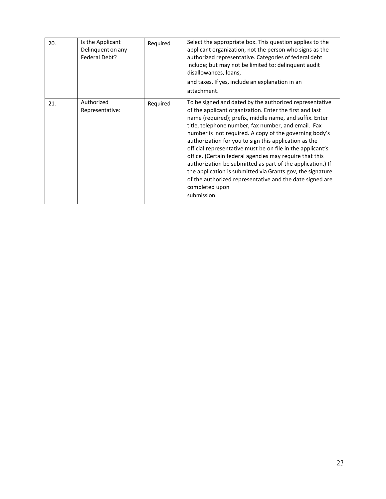| 20. | Is the Applicant<br>Delinquent on any<br>Federal Debt? | Required | Select the appropriate box. This question applies to the<br>applicant organization, not the person who signs as the<br>authorized representative. Categories of federal debt<br>include; but may not be limited to: delinquent audit<br>disallowances, loans,<br>and taxes. If yes, include an explanation in an<br>attachment.                                                                                                                                                                                                                                                                                                                                                                           |
|-----|--------------------------------------------------------|----------|-----------------------------------------------------------------------------------------------------------------------------------------------------------------------------------------------------------------------------------------------------------------------------------------------------------------------------------------------------------------------------------------------------------------------------------------------------------------------------------------------------------------------------------------------------------------------------------------------------------------------------------------------------------------------------------------------------------|
| 21. | Authorized<br>Representative:                          | Required | To be signed and dated by the authorized representative<br>of the applicant organization. Enter the first and last<br>name (required); prefix, middle name, and suffix. Enter<br>title, telephone number, fax number, and email. Fax<br>number is not required. A copy of the governing body's<br>authorization for you to sign this application as the<br>official representative must be on file in the applicant's<br>office. (Certain federal agencies may require that this<br>authorization be submitted as part of the application.) If<br>the application is submitted via Grants.gov, the signature<br>of the authorized representative and the date signed are<br>completed upon<br>submission. |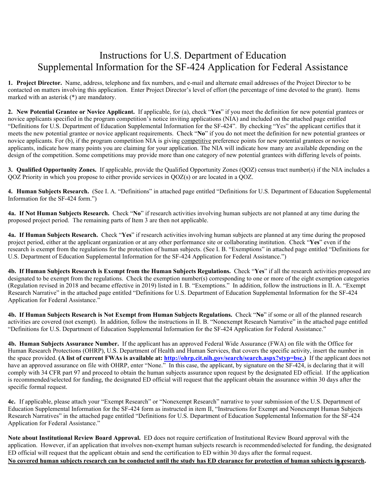# Instructions for U.S. Department of Education Supplemental Information for the SF-424 Application for Federal Assistance

**1. Project Director.** Name, address, telephone and fax numbers, and e-mail and alternate email addresses of the Project Director to be contacted on matters involving this application. Enter Project Director's level of effort (the percentage of time devoted to the grant). Items marked with an asterisk (\*) are mandatory.

**2. New Potential Grantee or Novice Applicant.** If applicable, for (a), check "**Yes**" if you meet the definition for new potential grantees or novice applicants specified in the program competition's notice inviting applications (NIA) and included on the attached page entitled "Definitions for U.S. Department of Education Supplemental Information for the SF-424". By checking "Yes" the applicant certifies that it meets the new potential grantee or novice applicant requirements. Check "**No**" if you do not meet the definition for new potential grantees or novice applicants. For (b), if the program competition NIA is giving competitive preference points for new potential grantees or novice applicants, indicate how many points you are claiming for your application. The NIA will indicate how many are available depending on the design of the competition. Some competitions may provide more than one category of new potential grantees with differing levels of points.

**3. Qualified Opportunity Zones.** If applicable, provide the Qualified Opportunity Zones (QOZ) census tract number(s) if the NIA includes a QOZ Priority in which you propose to either provide services in QOZ(s) or are located in a QOZ.

**4. Human Subjects Research.** (See I. A. "Definitions" in attached page entitled "Definitions for U.S. Department of Education Supplemental Information for the SF-424 form.")

**4a. If Not Human Subjects Research.** Check "**No**" if research activities involving human subjects are not planned at any time during the proposed project period. The remaining parts of Item 3 are then not applicable.

**4a. If Human Subjects Research.** Check "**Yes**" if research activities involving human subjects are planned at any time during the proposed project period, either at the applicant organization or at any other performance site or collaborating institution. Check "**Yes**" even if the research is exempt from the regulations for the protection of human subjects. (See I. B. "Exemptions" in attached page entitled "Definitions for U.S. Department of Education Supplemental Information for the SF-424 Application for Federal Assistance.")

**4b. If Human Subjects Research is Exempt from the Human Subjects Regulations.** Check "**Yes**" if all the research activities proposed are designated to be exempt from the regulations. Check the exemption number(s) corresponding to one or more of the eight exemption categories (Regulation revised in 2018 and became effective in 2019) listed in I. B. "Exemptions." In addition, follow the instructions in II. A. "Exempt Research Narrative" in the attached page entitled "Definitions for U.S. Department of Education Supplemental Information for the SF-424 Application for Federal Assistance."

**4b. If Human Subjects Research is Not Exempt from Human Subjects Regulations.** Check "**No**" if some or all of the planned research activities are covered (not exempt). In addition, follow the instructions in II. B. "Nonexempt Research Narrative" in the attached page entitled "Definitions for U.S. Department of Education Supplemental Information for the SF-424 Application for Federal Assistance."

**4b. Human Subjects Assurance Number.** If the applicant has an approved Federal Wide Assurance (FWA) on file with the Office for Human Research Protections (OHRP), U.S. Department of Health and Human Services, that covers the specific activity, insert the number in the space provided. **(A list of current FWAs is available at: [http://ohrp.cit.nih.gov/search/search.aspx?styp=bsc.](http://ohrp.cit.nih.gov/search/search.aspx?styp=bsc))** If the applicant does not have an approved assurance on file with OHRP, enter "None." In this case, the applicant, by signature on the SF-424, is declaring that it will comply with 34 CFR part 97 and proceed to obtain the human subjects assurance upon request by the designated ED official. If the application is recommended/selected for funding, the designated ED official will request that the applicant obtain the assurance within 30 days after the specific formal request.

**4c.** If applicable, please attach your "Exempt Research" or "Nonexempt Research" narrative to your submission of the U.S. Department of Education Supplemental Information for the SF-424 form as instructed in item II, "Instructions for Exempt and Nonexempt Human Subjects Research Narratives" in the attached page entitled "Definitions for U.S. Department of Education Supplemental Information for the SF-424 Application for Federal Assistance."

No covered human subjects research can be conducted until the study has ED clearance for protection of human subjects i<mark>n research</mark>. **Note about Institutional Review Board Approval.** ED does not require certification of Institutional Review Board approval with the application. However, if an application that involves non-exempt human subjects research is recommended/selected for funding, the designated ED official will request that the applicant obtain and send the certification to ED within 30 days after the formal request.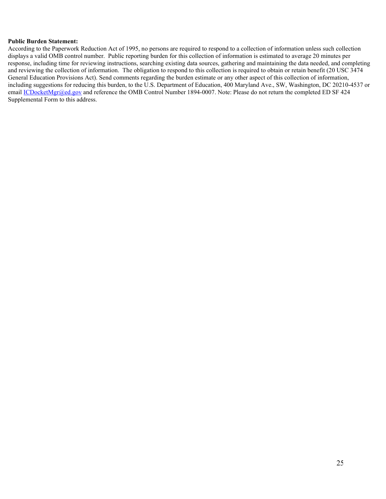#### **Public Burden Statement:**

According to the Paperwork Reduction Act of 1995, no persons are required to respond to a collection of information unless such collection displays a valid OMB control number. Public reporting burden for this collection of information is estimated to average 20 minutes per response, including time for reviewing instructions, searching existing data sources, gathering and maintaining the data needed, and completing and reviewing the collection of information. The obligation to respond to this collection is required to obtain or retain benefit (20 USC 3474 General Education Provisions Act). Send comments regarding the burden estimate or any other aspect of this collection of information, including suggestions for reducing this burden, to the U.S. Department of Education, 400 Maryland Ave., SW, Washington, DC 20210-4537 or email *ICDocketMgr@ed.gov* and reference the OMB Control Number 1894-0007. Note: Please do not return the completed ED SF 424 Supplemental Form to this address.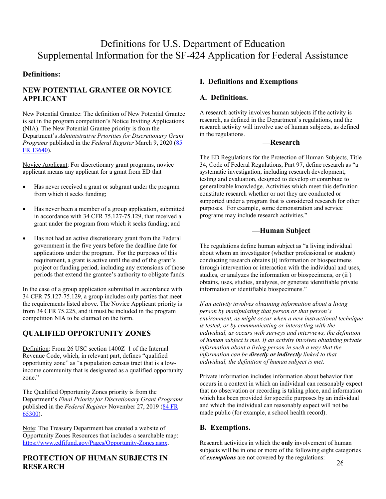#### **Definitions:**

# **NEW POTENTIAL GRANTEE OR NOVICE APPLICANT**

New Potential Grantee: The definition of New Potential Grantee is set in the program competition's Notice Inviting Applications (NIA). The New Potential Grantee priority is from the Department's *Administrative Priorities for Discretionary Grant Programs* published in the *Federal Register* March 9, 2020 [\(85](https://www.federalregister.gov/d/2020-04761)  [FR 13640\)](https://www.federalregister.gov/d/2020-04761).

Novice Applicant: For discretionary grant programs, novice applicant means any applicant for a grant from ED that—

- Has never received a grant or subgrant under the program from which it seeks funding;
- Has never been a member of a group application, submitted in accordance with 34 CFR 75.127-75.129, that received a grant under the program from which it seeks funding; and
- Has not had an active discretionary grant from the Federal government in the five years before the deadline date for applications under the program. For the purposes of this requirement, a grant is active until the end of the grant's project or funding period, including any extensions of those periods that extend the grantee's authority to obligate funds.

In the case of a group application submitted in accordance with 34 CFR 75.127-75.129, a group includes only parties that meet the requirements listed above. The Novice Applicant priority is from 34 CFR 75.225, and it must be included in the program competition NIA to be claimed on the form.

# **QUALIFIED OPPORTUNITY ZONES**

Definition: From 26 USC section 1400Z–1 of the Internal Revenue Code, which, in relevant part, defines "qualified opportunity zone" as "a population census tract that is a lowincome community that is designated as a qualified opportunity zone."

The Qualified Opportunity Zones priority is from the Department's *Final Priority for Discretionary Grant Programs* published in the *Federal Register* November 27, 2019 [\(84 FR](https://www.federalregister.gov/d/2019-25819)  [65300\)](https://www.federalregister.gov/d/2019-25819).

Note: The Treasury Department has created a website of Opportunity Zones Resources that includes a searchable map: [https://www.cdfifund.gov/Pages/Opportunity-Zones.aspx.](https://www.cdfifund.gov/%E2%80%8BPages/%E2%80%8BOpportunity-Zones.aspx)

### **PROTECTION OF HUMAN SUBJECTS IN RESEARCH**

#### **I. Definitions and Exemptions**

### **A. Definitions.**

A research activity involves human subjects if the activity is research, as defined in the Department's regulations, and the research activity will involve use of human subjects, as defined in the regulations.

#### **—Research**

The ED Regulations for the Protection of Human Subjects, Title 34, Code of Federal Regulations, Part 97, define research as "a systematic investigation, including research development, testing and evaluation, designed to develop or contribute to generalizable knowledge. Activities which meet this definition constitute research whether or not they are conducted or supported under a program that is considered research for other purposes. For example, some demonstration and service programs may include research activities."

#### **—Human Subject**

The regulations define human subject as "a living individual about whom an investigator (whether professional or student) conducting research obtains (i) information or biospecimens through intervention or interaction with the individual and uses, studies, or analyzes the information or biospecimens, or (ii ) obtains, uses, studies, analyzes, or generate identifiable private information or identifiable biospecimens."

*If an activity involves obtaining information about a living person by manipulating that person or that person's environment, as might occur when a new instructional technique is tested, or by communicating or interacting with the individual, as occurs with surveys and interviews, the definition of human subject is met. If an activity involves obtaining private information about a living person in such a way that the information can be directly or indirectly linked to that individual, the definition of human subject is met.* 

Private information includes information about behavior that occurs in a context in which an individual can reasonably expect that no observation or recording is taking place, and information which has been provided for specific purposes by an individual and which the individual can reasonably expect will not be made public (for example, a school health record).

#### **B. Exemptions.**

Research activities in which the **only** involvement of human subjects will be in one or more of the following eight categories of *exemptions* are not covered by the regulations: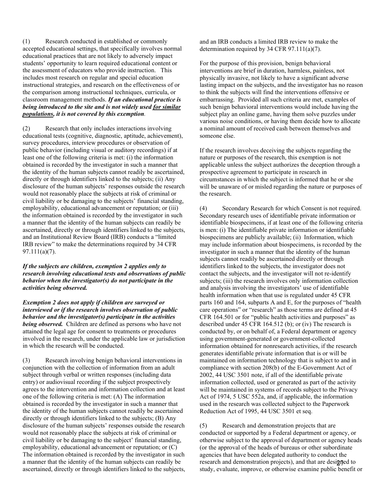(1) Research conducted in established or commonly accepted educational settings, that specifically involves normal educational practices that are not likely to adversely impact students' opportunity to learn required educational content or the assessment of educators who provide instruction. This includes most research on regular and special education instructional strategies, and research on the effectiveness of or the comparison among instructional techniques, curricula, or classroom management methods. *If an educational practice is being introduced to the site and is not widely used for similar populations, it is not covered by this exemption.*

(2) Research that only includes interactions involving educational tests (cognitive, diagnostic, aptitude, achievement), survey procedures, interview procedures or observation of public behavior (including visual or auditory recordings) if at least one of the following criteria is met: (i) the information obtained is recorded by the investigator in such a manner that the identity of the human subjects cannot readily be ascertained, directly or through identifiers linked to the subjects; (ii) Any disclosure of the human subjects' responses outside the research would not reasonably place the subjects at risk of criminal or civil liability or be damaging to the subjects' financial standing, employability, educational advancement or reputation; or (iii) the information obtained is recorded by the investigator in such a manner that the identity of the human subjects can readily be ascertained, directly or through identifiers linked to the subjects, and an Institutional Review Board (IRB) conducts a "limited IRB review" to make the determinations required by 34 CFR 97.111(a)(7).

*If the subjects are children, exemption 2 applies only to research involving educational tests and observations of public behavior when the investigator(s) do not participate in the activities being observed.* 

*Exemption 2 does not apply if children are surveyed or interviewed or if the research involves observation of public behavior and the investigator(s) participate in the activities being observed.* Children are defined as persons who have not attained the legal age for consent to treatments or procedures involved in the research, under the applicable law or jurisdiction in which the research will be conducted.

(3) Research involving benign behavioral interventions in conjunction with the collection of information from an adult subject through verbal or written responses (including data entry) or audiovisual recording if the subject prospectively agrees to the intervention and information collection and at least one of the following criteria is met: (A) The information obtained is recorded by the investigator in such a manner that the identity of the human subjects cannot readily be ascertained directly or through identifiers linked to the subjects; (B) Any disclosure of the human subjects' responses outside the research would not reasonably place the subjects at risk of criminal or civil liability or be damaging to the subject' financial standing, employability, educational advancement or reputation; or (C) The information obtained is recorded by the investigator in such a manner that the identity of the human subjects can readily be ascertained, directly or through identifiers linked to the subjects,

and an IRB conducts a limited IRB review to make the determination required by 34 CFR 97.111(a)(7).

For the purpose of this provision, benign behavioral interventions are brief in duration, harmless, painless, not physically invasive, not likely to have a significant adverse lasting impact on the subjects, and the investigator has no reason to think the subjects will find the interventions offensive or embarrassing. Provided all such criteria are met, examples of such benign behavioral interventions would include having the subject play an online game, having them solve puzzles under various noise conditions, or having them decide how to allocate a nominal amount of received cash between themselves and someone else.

If the research involves deceiving the subjects regarding the nature or purposes of the research, this exemption is not applicable unless the subject authorizes the deception through a prospective agreement to participate in research in circumstances in which the subject is informed that he or she will be unaware of or misled regarding the nature or purposes of the research.

(4) Secondary Research for which Consent is not required. Secondary research uses of identifiable private information or identifiable biospecimens, if at least one of the following criteria is men: (i) The identifiable private information or identifiable biospecimens are publicly available; (ii) Information, which may include information about biospecimens, is recorded by the investigator in such a manner that the identity of the human subjects cannot readily be ascertained directly or through identifiers linked to the subjects, the investigator does not contact the subjects, and the investigator will not re-identify subjects; (iii) the research involves only information collection and analysis involving the investigators' use of identifiable health information when that use is regulated under 45 CFR parts 160 and 164, subparts A and E, for the purposes of "health care operations" or "research" as those terms are defined at 45 CFR 164.501 or for "public health activities and purposes" as described under 45 CFR 164.512 (b); or (iv) The research is conducted by, or on behalf of, a Federal department or agency using government-generated or government-collected information obtained for nonresearch activities, if the research generates identifiable private information that is or will be maintained on information technology that is subject to and in compliance with section 208(b) of the E-Government Act of 2002, 44 USC 3501 note, if all of the identifiable private information collected, used or generated as part of the activity will be maintained in systems of records subject to the Privacy Act of 1974, 5 USC 552a, and, if applicable, the information used in the research was collected subject to the Paperwork Reduction Act of 1995, 44 USC 3501 et seq.

research and demonstration projects), and that are designed to (5) Research and demonstration projects that are conducted or supported by a Federal department or agency, or otherwise subject to the approval of department or agency heads (or the approval of the heads of bureaus or other subordinate agencies that have been delegated authority to conduct the study, evaluate, improve, or otherwise examine public benefit or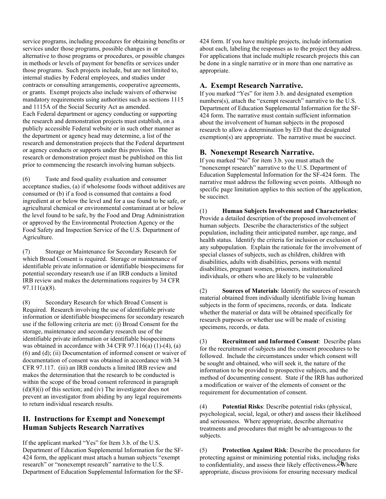service programs, including procedures for obtaining benefits or services under those programs, possible changes in or alternative to those programs or procedures, or possible changes in methods or levels of payment for benefits or services under those programs. Such projects include, but are not limited to, internal studies by Federal employees, and studies under contracts or consulting arrangements, cooperative agreements, or grants. Exempt projects also include waivers of otherwise mandatory requirements using authorities such as sections 1115 and 1115A of the Social Security Act as amended. Each Federal department or agency conducting or supporting the research and demonstration projects must establish, on a publicly accessible Federal website or in such other manner as the department or agency head may determine, a list of the research and demonstration projects that the Federal department or agency conducts or supports under this provision. The research or demonstration project must be published on this list prior to commencing the research involving human subjects.

(6) Taste and food quality evaluation and consumer acceptance studies, (a) if wholesome foods without additives are consumed or (b) if a food is consumed that contains a food ingredient at or below the level and for a use found to be safe, or agricultural chemical or environmental contaminant at or below the level found to be safe, by the Food and Drug Administration or approved by the Environmental Protection Agency or the Food Safety and Inspection Service of the U.S. Department of Agriculture.

(7) Storage or Maintenance for Secondary Research for which Broad Consent is required. Storage or maintenance of identifiable private information or identifiable biospecimens for potential secondary research use if an IRB conducts a limited IRB review and makes the determinations requires by 34 CFR 97.111(a)(8).

(8) Secondary Research for which Broad Consent is Required. Research involving the use of identifiable private information or identifiable biospecimens for secondary research use if the following criteria are met: (i) Broad Consent for the storage, maintenance and secondary research use of the identifiable private information or identifiable biospecimens was obtained in accordance with  $34$  CFR  $97.116(a)$  (1)-(4), (a) (6) and (d); (ii) Documentation of informed consent or waiver of documentation of consent was obtained in accordance with 34 CFR 97.117. (iii) an IRB conducts a limited IRB review and makes the determination that the research to be conducted is within the scope of the broad consent referenced in paragraph  $(d)(8)(i)$  of this section; and (iv) The investigator does not prevent an investigator from abiding by any legal requirements to return individual research results.

### **II. Instructions for Exempt and Nonexempt Human Subjects Research Narratives**

If the applicant marked "Yes" for Item 3.b. of the U.S. Department of Education Supplemental Information for the SF-424 form, the applicant must attach a human subjects "exempt research" or "nonexempt research" narrative to the U.S. Department of Education Supplemental Information for the SF-

424 form. If you have multiple projects, include information about each, labeling the responses as to the project they address. For applications that include multiple research projects this can be done in a single narrative or in more than one narrative as appropriate.

#### **A. Exempt Research Narrative.**

If you marked "Yes" for item 3.b. and designated exemption numbers(s), attach the "exempt research" narrative to the U.S. Department of Education Supplemental Information for the SF-424 form. The narrative must contain sufficient information about the involvement of human subjects in the proposed research to allow a determination by ED that the designated exemption(s) are appropriate. The narrative must be succinct.

#### **B. Nonexempt Research Narrative.**

If you marked "No" for item 3.b. you must attach the "nonexempt research" narrative to the U.S. Department of Education Supplemental Information for the SF-424 form. The narrative must address the following seven points. Although no specific page limitation applies to this section of the application, be succinct.

(1) **Human Subjects Involvement and Characteristics**: Provide a detailed description of the proposed involvement of human subjects. Describe the characteristics of the subject population, including their anticipated number, age range, and health status. Identify the criteria for inclusion or exclusion of any subpopulation. Explain the rationale for the involvement of special classes of subjects, such as children, children with disabilities, adults with disabilities, persons with mental disabilities, pregnant women, prisoners, institutionalized individuals, or others who are likely to be vulnerable

(2) **Sources of Materials**: Identify the sources of research material obtained from individually identifiable living human subjects in the form of specimens, records, or data. Indicate whether the material or data will be obtained specifically for research purposes or whether use will be made of existing specimens, records, or data.

(3) **Recruitment and Informed Consent**: Describe plans for the recruitment of subjects and the consent procedures to be followed. Include the circumstances under which consent will be sought and obtained, who will seek it, the nature of the information to be provided to prospective subjects, and the method of documenting consent. State if the IRB has authorized a modification or waiver of the elements of consent or the requirement for documentation of consent.

(4) **Potential Risks**: Describe potential risks (physical, psychological, social, legal, or other) and assess their likelihood and seriousness. Where appropriate, describe alternative treatments and procedures that might be advantageous to the subjects.

to confidentiality, and assess their likely effectiveness.  $2\tilde{\mathbf{w}}$  here (5) **Protection Against Risk**: Describe the procedures for protecting against or minimizing potential risks, including risks appropriate, discuss provisions for ensuring necessary medical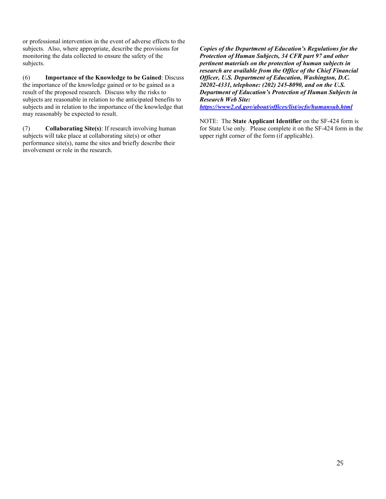or professional intervention in the event of adverse effects to the subjects. Also, where appropriate, describe the provisions for monitoring the data collected to ensure the safety of the subjects.

(6) **Importance of the Knowledge to be Gained**: Discuss the importance of the knowledge gained or to be gained as a result of the proposed research. Discuss why the risks to subjects are reasonable in relation to the anticipated benefits to subjects and in relation to the importance of the knowledge that may reasonably be expected to result.

(7) **Collaborating Site(s)**: If research involving human subjects will take place at collaborating site(s) or other performance site(s), name the sites and briefly describe their involvement or role in the research.

*Copies of the Department of Education's Regulations for the Protection of Human Subjects, 34 CFR part 97 and other pertinent materials on the protection of human subjects in research are available from the Office of the Chief Financial Officer, U.S. Department of Education, Washington, D.C. 20202-4331, telephone: (202) 245-8090, and on the U.S. Department of Education's Protection of Human Subjects in Research Web Site:* 

*<https://www2.ed.gov/about/offices/list/ocfo/humansub.html>*

NOTE: The **State Applicant Identifier** on the SF-424 form is for State Use only. Please complete it on the SF-424 form in the upper right corner of the form (if applicable).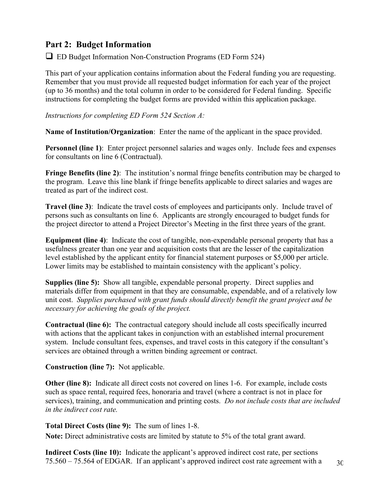# <span id="page-29-0"></span>**Part 2: Budget Information**

 $\Box$  ED Budget Information Non-Construction Programs (ED Form 524)

This part of your application contains information about the Federal funding you are requesting. Remember that you must provide all requested budget information for each year of the project (up to 36 months) and the total column in order to be considered for Federal funding. Specific instructions for completing the budget forms are provided within this application package.

*Instructions for completing ED Form 524 Section A:*

**Name of Institution/Organization**: Enter the name of the applicant in the space provided.

**Personnel (line 1):** Enter project personnel salaries and wages only. Include fees and expenses for consultants on line 6 (Contractual).

**Fringe Benefits (line 2)**: The institution's normal fringe benefits contribution may be charged to the program. Leave this line blank if fringe benefits applicable to direct salaries and wages are treated as part of the indirect cost.

**Travel (line 3)**: Indicate the travel costs of employees and participants only. Include travel of persons such as consultants on line 6. Applicants are strongly encouraged to budget funds for the project director to attend a Project Director's Meeting in the first three years of the grant.

**Equipment (line 4)**: Indicate the cost of tangible, non-expendable personal property that has a usefulness greater than one year and acquisition costs that are the lesser of the capitalization level established by the applicant entity for financial statement purposes or \$5,000 per article. Lower limits may be established to maintain consistency with the applicant's policy.

**Supplies (line 5):** Show all tangible, expendable personal property. Direct supplies and materials differ from equipment in that they are consumable, expendable, and of a relatively low unit cost. *Supplies purchased with grant funds should directly benefit the grant project and be necessary for achieving the goals of the project.*

**Contractual (line 6):** The contractual category should include all costs specifically incurred with actions that the applicant takes in conjunction with an established internal procurement system. Include consultant fees, expenses, and travel costs in this category if the consultant's services are obtained through a written binding agreement or contract.

**Construction (line 7):** Not applicable.

**Other (line 8):** Indicate all direct costs not covered on lines 1-6. For example, include costs such as space rental, required fees, honoraria and travel (where a contract is not in place for services), training, and communication and printing costs. *Do not include costs that are included in the indirect cost rate.*

**Total Direct Costs (line 9):** The sum of lines 1-8.

**Note:** Direct administrative costs are limited by statute to 5% of the total grant award.

**Indirect Costs (line 10):** Indicate the applicant's approved indirect cost rate, per sections 75.560 – 75.564 of EDGAR. If an applicant's approved indirect cost rate agreement with a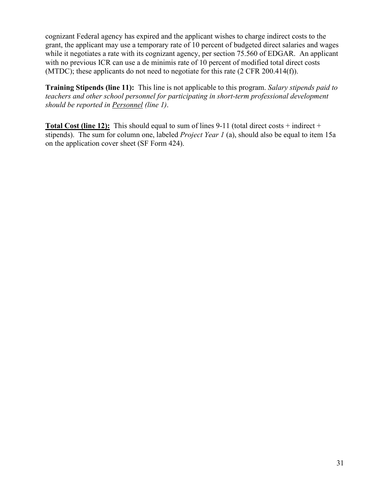cognizant Federal agency has expired and the applicant wishes to charge indirect costs to the grant, the applicant may use a temporary rate of 10 percent of budgeted direct salaries and wages while it negotiates a rate with its cognizant agency, per section 75.560 of EDGAR. An applicant with no previous ICR can use a de minimis rate of 10 percent of modified total direct costs (MTDC); these applicants do not need to negotiate for this rate (2 CFR 200.414(f)).

**Training Stipends (line 11):** This line is not applicable to this program. *Salary stipends paid to teachers and other school personnel for participating in short-term professional development should be reported in Personnel (line 1)*.

**Total Cost (line 12):** This should equal to sum of lines 9-11 (total direct costs + indirect + stipends). The sum for column one, labeled *Project Year 1* (a), should also be equal to item 15a on the application cover sheet (SF Form 424).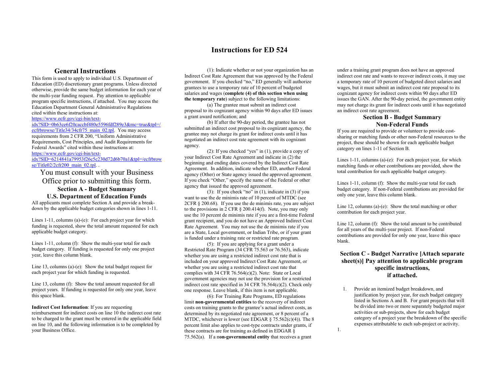#### **Instructions for ED 524**

#### **General Instructions**

This form is used to apply to individual U.S. Department of Education (ED) discretionary grant programs. Unless directed otherwise, provide the same budget information for each year of the multi-year funding request. Pay attention to applicable program specific instructions, if attached. You may access the Education Department General Administrative Regulations cited within these instructions at:

[https://www.ecfr.gov/cgi-bin/text-](https://www.ecfr.gov/cgi-bin/text-idx?SID=0b63ce6f20caccbf480e5596fdf289e3&mc=true&tpl=/ecfrbrowse/Title34/34cfr75_main_02.tpl)

[idx?SID=0b63ce6f20caccbf480e5596fdf289e3&mc=true&tpl=/](https://www.ecfr.gov/cgi-bin/text-idx?SID=0b63ce6f20caccbf480e5596fdf289e3&mc=true&tpl=/ecfrbrowse/Title34/34cfr75_main_02.tpl) [ecfrbrowse/Title34/34cfr75\\_main\\_02.tpl.](https://www.ecfr.gov/cgi-bin/text-idx?SID=0b63ce6f20caccbf480e5596fdf289e3&mc=true&tpl=/ecfrbrowse/Title34/34cfr75_main_02.tpl) You may access requirements from 2 CFR 200, "Uniform Administrative Requirements, Cost Principles, and Audit Requirements for Federal Awards" cited within these instructions at:

[https://www.ecfr.gov/cgi-bin/text-](https://www.ecfr.gov/cgi-bin/text-idx?SID=6214841a79953f26c5c230d72d6b70a1&tpl=/ecfrbrowse/Title02/2cfr200_main_02.tpl)

[idx?SID=6214841a79953f26c5c230d72d6b70a1&tpl=/ecfrbrow](https://www.ecfr.gov/cgi-bin/text-idx?SID=6214841a79953f26c5c230d72d6b70a1&tpl=/ecfrbrowse/Title02/2cfr200_main_02.tpl)  $s$ e/Title02/2cfr200\_main\_02.tpl. .

You must consult with your Business Office prior to submitting this form. **Section A - Budget Summary**

**U.S. Department of Education Funds**

All applicants must complete Section A and provide a breakdown by the applicable budget categories shown in lines 1-11.

Lines 1-11, columns (a)-(e): For each project year for which funding is requested, show the total amount requested for each applicable budget category.

Lines 1-11, column (f): Show the multi-year total for each budget category. If funding is requested for only one project year, leave this column blank.

Line 13, columns (a)-(e): Show the total budget request for each project year for which funding is requested.

Line 13, column (f): Show the total amount requested for all project years. If funding is requested for only one year, leave this space blank.

#### **Indirect Cost Information**: If you are requesting

reimbursement for indirect costs on line 10 the indirect cost rate to be charged to the grant must be entered in the applicable field on line 10, and the following information is to be completed by your Business Office.

(1): Indicate whether or not your organization has an Indirect Cost Rate Agreement that was approved by the Federal government. If you checked "no," ED generally will authorize grantees to use a temporary rate of 10 percent of budgeted salaries and wages (**complete (4) of this section when using the temporary rate**) subject to the following limitations:

(a) The grantee must submit an indirect cost proposal to its cognizant agency within 90 days after ED issues a grant award notification; and

(b) If after the 90-day period, the grantee has not submitted an indirect cost proposal to its cognizant agency, the grantee may not charge its grant for indirect costs until it has negotiated an indirect cost rate agreement with its cognizant agency.

(2): If you checked "yes" in (1), provide a copy of your Indirect Cost Rate Agreement and indicate in (2) the beginning and ending dates covered by the Indirect Cost Rate Agreement. In addition, indicate whether ED, another Federal agency (Other) or State agency issued the approved agreement. If you check "Other," specify the name of the Federal or other agency that issued the approved agreement.

(3): If you check "no" in (1), indicate in (3) if you want to use the de minimis rate of 10 percent of MTDC (see 2CFR § 200.68). If you use the de minimis rate, you are subject to the provisions in 2 CFR § 200.414(f). Note, you may only use the 10 percent de minimis rate if you are a first-time Federal grant recipient, and you do not have an Approved Indirect Cost Rate Agreement. You may not use the de minimis rate if you are a State, Local government, or Indian Tribe, or if your grant is funded under a training rate or restricted rate program.

(5): If you are applying for a grant under a Restricted Rate Program (34 CFR 75.563 or 76.563), indicate whether you are using a restricted indirect cost rate that is included on your approved Indirect Cost Rate Agreement, or whether you are using a restricted indirect cost rate that complies with 34 CFR 76.564(c)(2). Note: State or Local government agencies may not use the provision for a restricted indirect cost rate specified in 34 CFR 76.564(c)(2). Check only one response. Leave blank, if this item is not applicable.

(6): For Training Rate Programs, ED regulations limit **non-governmental entities** to the recovery of indirect costs on training grants to the grantee's actual indirect costs, as determined by its negotiated rate agreement, or 8 percent of a MTDC, whichever is lower (see EDGAR  $\S$  75.562(c)(4)). The  $\S$ percent limit also applies to cost-type contracts under grants, if these contracts are for training as defined in EDGAR § 75.562(a). If a n**on-governmental entity** that receives a grant

under a training grant program does not have an approved indirect cost rate and wants to recover indirect costs, it may use a temporary rate of 10 percent of budgeted direct salaries and wages, but it must submit an indirect cost rate proposal to its cognizant agency for indirect costs within 90 days after ED issues the GAN. After the 90-day period, the government entity may not charge its grant for indirect costs until it has negotiated an indirect cost rate agreement.

#### **Section B - Budget Summary Non-Federal Funds**

If you are required to provide or volunteer to provide costsharing or matching funds or other non-Federal resources to the project, these should be shown for each applicable budget category on lines 1-11 of Section B.

Lines 1-11, columns (a)-(e): For each project year, for which matching funds or other contributions are provided, show the total contribution for each applicable budget category.

Lines 1-11, column (f): Show the multi-year total for each budget category. If non-Federal contributions are provided for only one year, leave this column blank.

Line 12, columns (a)-(e): Show the total matching or other contribution for each project year.

Line 12, column (f): Show the total amount to be contributed for all years of the multi-year project. If non-Federal contributions are provided for only one year, leave this space blank.

#### **Section C - Budget Narrative [Attach separate sheet(s)] Pay attention to applicable program specific instructions, if attached.**

1. Provide an itemized budget breakdown, and justification by project year, for each budget category listed in Sections A and B. For grant projects that will be divided into two or more separately budgeted major activities or sub-projects, show for each budget category of a project year the breakdown of the specific expenses attributable to each sub-project or activity. 1.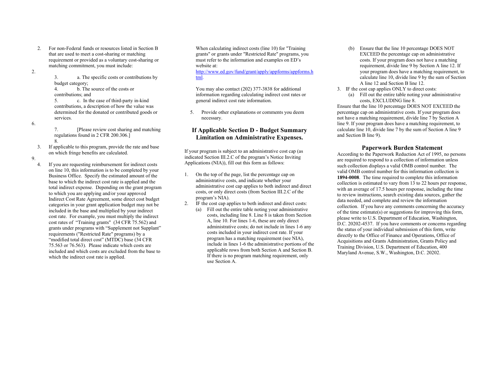- 2. For non-Federal funds or resources listed in Section B that are used to meet a cost-sharing or matching requirement or provided as a voluntary cost-sharing or matching commitment, you must include:
- 2.

3. a. The specific costs or contributions by

budget category;<br>4. b. The 4. b. The source of the costs or contributions; and

5. c. In the case of third-party in-kind contributions, a description of how the value was determined for the donated or contributed goods or services.

6.

7. [Please review cost sharing and matching regulations found in 2 CFR 200.306.] 8.

3. If applicable to this program, provide the rate and base on which fringe benefits are calculated.

9.

4. If you are requesting reimbursement for indirect costs on line 10, this information is to be completed by your Business Office. Specify the estimated amount of the base to which the indirect cost rate is applied and the total indirect expense. Depending on the grant program to which you are applying and/or your approved Indirect Cost Rate Agreement, some direct cost budget categories in your grant application budget may not be included in the base and multiplied by your indirect cost rate. For example, you must multiply the indirect cost rates of "Training grants" (34 CFR 75.562) and grants under programs with "Supplement not Supplant" requirements ("Restricted Rate" programs) by a "modified total direct cost" (MTDC) base (34 CFR 75.563 or 76.563). Please indicate which costs are included and which costs are excluded from the base to which the indirect cost rate is applied.

When calculating indirect costs (line 10) for "Training grants" or grants under "Restricted Rate" programs, you must refer to the information and examples on ED's website at: http://www.ed.gov/fund/grant/apply/appforms/appforms.h

tml.

You may also contact (202) 377-3838 for additional information regarding calculating indirect cost rates or general indirect cost rate information.

5. Provide other explanations or comments you deem necessary.

#### **If Applicable Section D - Budget Summary Limitation on Administrative Expenses.**

If your program is subject to an administrative cost cap (as indicated Section III.2.C of the program's Notice Inviting Applications (NIA)), fill out this form as follows:

- 1. On the top of the page, list the percentage cap on administrative costs, and indicate whether your administrative cost cap applies to both indirect and direct costs, or only direct costs (from Section III.2.C of the program's NIA).
- 2. IF the cost cap applies to both indirect and direct costs:
	- (a) Fill out the entire table noting your administrative costs, including line 8. Line 8 is taken from Section A, line 10. For lines 1-6, these are only direct administrative costs; do not include in lines 1-6 any costs included in your indirect cost rate. If your program has a matching requirement (see NIA), include in lines 1-6 the administrative portions of the applicable rows from both Section A and Section B. If there is no program matching requirement, only use Section A.
- (b) Ensure that the line 10 percentage DOES NOT EXCEED the percentage cap on administrative costs. If your program does not have a matching requirement, divide line 9 by Section A line 12. If your program does have a matching requirement, to calculate line 10, divide line 9 by the sum of Section A line 12 and Section B line 12.
- 3. IF the cost cap applies ONLY to direct costs: (a) Fill out the entire table noting your administrative costs, EXCLUDING line 8.

Ensure that the line 10 percentage DOES NOT EXCEED the percentage cap on administrative costs. If your program does not have a matching requirement, divide line 7 by Section A line 9. If your program does have a matching requirement, to calculate line 10, divide line 7 by the sum of Section A line 9 and Section B line 9).

#### **Paperwork Burden Statement**

According to the Paperwork Reduction Act of 1995, no persons are required to respond to a collection of information unless such collection displays a valid OMB control number. The valid OMB control number for this information collection is **1894-0008**. The time required to complete this information collection is estimated to vary from 13 to 22 hours per response, with an average of 17.5 hours per response, including the time to review instructions, search existing data sources, gather the data needed, and complete and review the information collection. If you have any comments concerning the accuracy of the time estimate(s) or suggestions for improving this form, please write to U.S. Department of Education, Washington, D.C. 20202-4537. If you have comments or concerns regarding the status of your individual submission of this form, write directly to the Office of Finance and Operations, Office of Acquisitions and Grants Administration, Grants Policy and Training Division, U.S. Department of Education, 400 Maryland Avenue, S.W., Washington, D.C. 20202.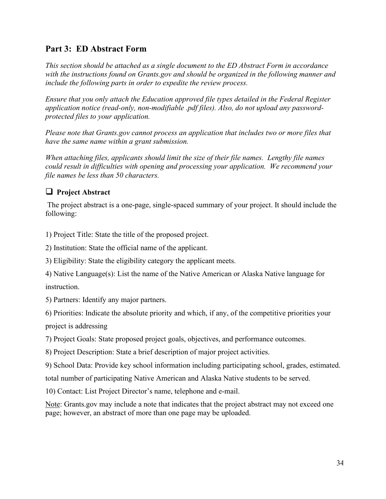# <span id="page-33-0"></span>**Part 3: ED Abstract Form**

*This section should be attached as a single document to the ED Abstract Form in accordance with the instructions found on Grants.gov and should be organized in the following manner and include the following parts in order to expedite the review process.* 

*Ensure that you only attach the Education approved file types detailed in the Federal Register application notice (read-only, non-modifiable .pdf files). Also, do not upload any passwordprotected files to your application.* 

*Please note that Grants.gov cannot process an application that includes two or more files that have the same name within a grant submission.* 

*When attaching files, applicants should limit the size of their file names. Lengthy file names could result in difficulties with opening and processing your application. We recommend your file names be less than 50 characters.* 

# **Project Abstract**

The project abstract is a one-page, single-spaced summary of your project. It should include the following:

1) Project Title: State the title of the proposed project.

2) Institution: State the official name of the applicant.

3) Eligibility: State the eligibility category the applicant meets.

4) Native Language(s): List the name of the Native American or Alaska Native language for instruction.

5) Partners: Identify any major partners.

6) Priorities: Indicate the absolute priority and which, if any, of the competitive priorities your

project is addressing

7) Project Goals: State proposed project goals, objectives, and performance outcomes.

8) Project Description: State a brief description of major project activities.

9) School Data: Provide key school information including participating school, grades, estimated.

total number of participating Native American and Alaska Native students to be served.

10) Contact: List Project Director's name, telephone and e-mail.

Note: Grants.gov may include a note that indicates that the project abstract may not exceed one page; however, an abstract of more than one page may be uploaded.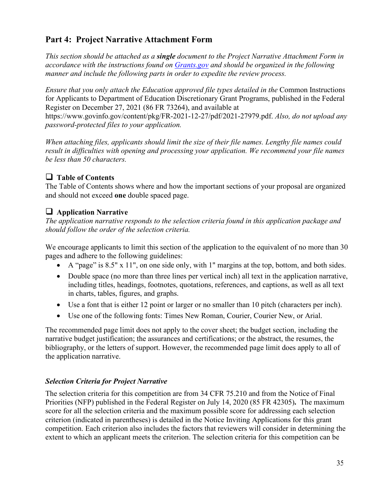# <span id="page-34-0"></span>**Part 4: Project Narrative Attachment Form**

*This section should be attached as a single document to the Project Narrative Attachment Form in accordance with the instructions found on [Grants.gov](http://grants.gov/) and should be organized in the following manner and include the following parts in order to expedite the review process.*

*Ensure that you only attach the Education approved file types detailed in the* Common Instructions for Applicants to Department of Education Discretionary Grant Programs, published in the Federal Register on December 27, 2021 (86 FR 73264), and available at https://www.govinfo.gov/content/pkg/FR-2021-12-27/pdf/2021-27979.pdf. *Also, do not upload any password-protected files to your application.* 

*When attaching files, applicants should limit the size of their file names. Lengthy file names could result in difficulties with opening and processing your application. We recommend your file names be less than 50 characters.* 

# **Table of Contents**

The Table of Contents shows where and how the important sections of your proposal are organized and should not exceed **one** double spaced page.

# **Application Narrative**

*The application narrative responds to the selection criteria found in this application package and should follow the order of the selection criteria.* 

We encourage applicants to limit this section of the application to the equivalent of no more than 30 pages and adhere to the following guidelines:

- A "page" is 8.5" x 11", on one side only, with 1" margins at the top, bottom, and both sides.
- Double space (no more than three lines per vertical inch) all text in the application narrative, including titles, headings, footnotes, quotations, references, and captions, as well as all text in charts, tables, figures, and graphs.
- Use a font that is either 12 point or larger or no smaller than 10 pitch (characters per inch).
- Use one of the following fonts: Times New Roman, Courier, Courier New, or Arial.

The recommended page limit does not apply to the cover sheet; the budget section, including the narrative budget justification; the assurances and certifications; or the abstract, the resumes, the bibliography, or the letters of support. However, the recommended page limit does apply to all of the application narrative.

# *Selection Criteria for Project Narrative*

The selection criteria for this competition are from 34 CFR 75.210 and from the Notice of Final Priorities (NFP) published in the Federal Register on July 14, 2020 (85 FR 42305)**.** The maximum score for all the selection criteria and the maximum possible score for addressing each selection criterion (indicated in parentheses) is detailed in the Notice Inviting Applications for this grant competition. Each criterion also includes the factors that reviewers will consider in determining the extent to which an applicant meets the criterion. The selection criteria for this competition can be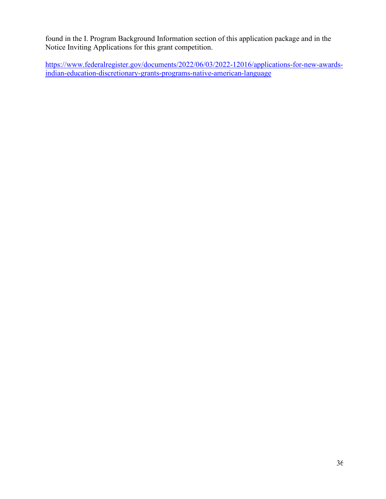found in the I. Program Background Information section of this application package and in the Notice Inviting Applications for this grant competition.

[https://www.federalregister.gov/documents/2022/06/03/2022-12016/applications-for-new-awards](https://www.federalregister.gov/documents/2022/06/03/2022-12016/applications-for-new-awards-indian-education-discretionary-grants-programs-native-american-language)[indian-education-discretionary-grants-programs-native-american-language](https://www.federalregister.gov/documents/2022/06/03/2022-12016/applications-for-new-awards-indian-education-discretionary-grants-programs-native-american-language)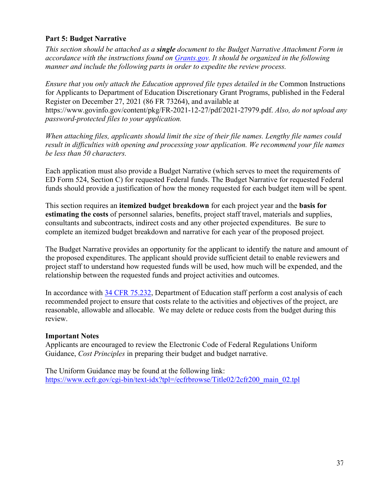## **Part 5: Budget Narrative**

*This section should be attached as a single document to the Budget Narrative Attachment Form in accordance with the instructions found on [Grants.gov.](https://www.grants.gov/web/grants/applicants/applicant-faqs.html#forms) It should be organized in the following manner and include the following parts in order to expedite the review process.* 

*Ensure that you only attach the Education approved file types detailed in the* Common Instructions for Applicants to Department of Education Discretionary Grant Programs, published in the Federal Register on December 27, 2021 (86 FR 73264), and available at https://www.govinfo.gov/content/pkg/FR-2021-12-27/pdf/2021-27979.pdf. *Also, do not upload any password-protected files to your application.* 

*When attaching files, applicants should limit the size of their file names. Lengthy file names could result in difficulties with opening and processing your application. We recommend your file names be less than 50 characters.* 

Each application must also provide a Budget Narrative (which serves to meet the requirements of ED Form 524, Section C) for requested Federal funds. The Budget Narrative for requested Federal funds should provide a justification of how the money requested for each budget item will be spent.

This section requires an **itemized budget breakdown** for each project year and the **basis for estimating the costs** of personnel salaries, benefits, project staff travel, materials and supplies, consultants and subcontracts, indirect costs and any other projected expenditures. Be sure to complete an itemized budget breakdown and narrative for each year of the proposed project*.* 

The Budget Narrative provides an opportunity for the applicant to identify the nature and amount of the proposed expenditures. The applicant should provide sufficient detail to enable reviewers and project staff to understand how requested funds will be used, how much will be expended, and the relationship between the requested funds and project activities and outcomes.

In accordance with [34 CFR 75.232,](https://www.ecfr.gov/cgi-bin/retrieveECFR?gp=1&SID=367e1f94ddd42a155763f4a7fa1ee269&h=L&mc=true&n=pt34.1.75&r=PART&ty=HTML#se34.1.75_1232) Department of Education staff perform a cost analysis of each recommended project to ensure that costs relate to the activities and objectives of the project, are reasonable, allowable and allocable. We may delete or reduce costs from the budget during this review.

## **Important Notes**

Applicants are encouraged to review the Electronic Code of Federal Regulations Uniform Guidance, *Cost Principles* in preparing their budget and budget narrative.

The Uniform Guidance may be found at the following link: https://www.ecfr.gov/cgi-bin/text-idx?tpl=/ecfrbrowse/Title02/2cfr200 main 02.tpl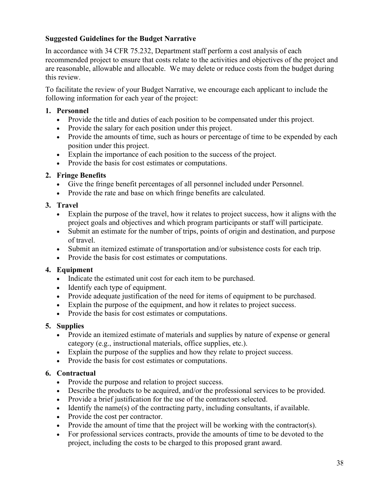## **Suggested Guidelines for the Budget Narrative**

In accordance with 34 CFR 75.232, Department staff perform a cost analysis of each recommended project to ensure that costs relate to the activities and objectives of the project and are reasonable, allowable and allocable. We may delete or reduce costs from the budget during this review.

To facilitate the review of your Budget Narrative, we encourage each applicant to include the following information for each year of the project:

### **1. Personnel**

- Provide the title and duties of each position to be compensated under this project.
- Provide the salary for each position under this project.
- Provide the amounts of time, such as hours or percentage of time to be expended by each position under this project.
- Explain the importance of each position to the success of the project.
- Provide the basis for cost estimates or computations.

### **2. Fringe Benefits**

- Give the fringe benefit percentages of all personnel included under Personnel.
- Provide the rate and base on which fringe benefits are calculated.

### **3. Travel**

- Explain the purpose of the travel, how it relates to project success, how it aligns with the project goals and objectives and which program participants or staff will participate.
- Submit an estimate for the number of trips, points of origin and destination, and purpose of travel.
- Submit an itemized estimate of transportation and/or subsistence costs for each trip.
- Provide the basis for cost estimates or computations.

## **4. Equipment**

- Indicate the estimated unit cost for each item to be purchased.
- Identify each type of equipment.
- Provide adequate justification of the need for items of equipment to be purchased.
- Explain the purpose of the equipment, and how it relates to project success.
- Provide the basis for cost estimates or computations.

## **5. Supplies**

- Provide an itemized estimate of materials and supplies by nature of expense or general category (e.g., instructional materials, office supplies, etc.).
- Explain the purpose of the supplies and how they relate to project success.
- Provide the basis for cost estimates or computations.

## **6. Contractual**

- Provide the purpose and relation to project success.
- Describe the products to be acquired, and/or the professional services to be provided.
- Provide a brief justification for the use of the contractors selected.
- Identify the name(s) of the contracting party, including consultants, if available.
- Provide the cost per contractor.
- Provide the amount of time that the project will be working with the contractor(s).
- For professional services contracts, provide the amounts of time to be devoted to the project, including the costs to be charged to this proposed grant award.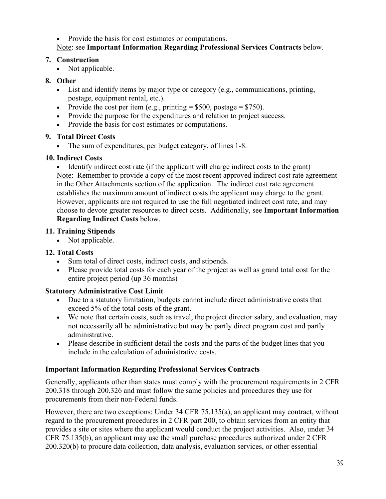• Provide the basis for cost estimates or computations. Note: see **Important Information Regarding Professional Services Contracts** below.

### **7. Construction**

• Not applicable.

## **8. Other**

- List and identify items by major type or category (e.g., communications, printing, postage, equipment rental, etc.).
- Provide the cost per item (e.g., printing  $= $500$ , postage  $= $750$ ).
- Provide the purpose for the expenditures and relation to project success.
- Provide the basis for cost estimates or computations.

## **9. Total Direct Costs**

• The sum of expenditures, per budget category, of lines 1-8.

## **10. Indirect Costs**

• Identify indirect cost rate (if the applicant will charge indirect costs to the grant) Note: Remember to provide a copy of the most recent approved indirect cost rate agreement in the Other Attachments section of the application. The indirect cost rate agreement establishes the maximum amount of indirect costs the applicant may charge to the grant. However, applicants are not required to use the full negotiated indirect cost rate, and may choose to devote greater resources to direct costs. Additionally, see **Important Information Regarding Indirect Costs** below.

## **11. Training Stipends**

• Not applicable.

## **12. Total Costs**

- Sum total of direct costs, indirect costs, and stipends.
- Please provide total costs for each year of the project as well as grand total cost for the entire project period (up 36 months)

## **Statutory Administrative Cost Limit**

- Due to a statutory limitation, budgets cannot include direct administrative costs that exceed 5% of the total costs of the grant.
- We note that certain costs, such as travel, the project director salary, and evaluation, may not necessarily all be administrative but may be partly direct program cost and partly administrative.
- Please describe in sufficient detail the costs and the parts of the budget lines that you include in the calculation of administrative costs.

## **Important Information Regarding Professional Services Contracts**

Generally, applicants other than states must comply with the procurement requirements in 2 CFR 200.318 through 200.326 and must follow the same policies and procedures they use for procurements from their non-Federal funds.

However, there are two exceptions: Under 34 CFR 75.135(a), an applicant may contract, without regard to the procurement procedures in 2 CFR part 200, to obtain services from an entity that provides a site or sites where the applicant would conduct the project activities. Also, under 34 CFR 75.135(b), an applicant may use the small purchase procedures authorized under 2 CFR 200.320(b) to procure data collection, data analysis, evaluation services, or other essential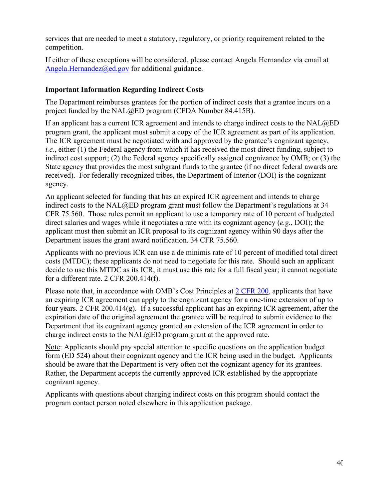services that are needed to meet a statutory, regulatory, or priority requirement related to the competition.

If either of these exceptions will be considered, please contact Angela Hernandez via email at [Angela.H](mailto:john.cheek@ed.gov)ernandez@ed.gov for additional guidance.

## **Important Information Regarding Indirect Costs**

The Department reimburses grantees for the portion of indirect costs that a grantee incurs on a project funded by the NAL@ED program (CFDA Number 84.415B).

If an applicant has a current ICR agreement and intends to charge indirect costs to the NAL@ED program grant, the applicant must submit a copy of the ICR agreement as part of its application. The ICR agreement must be negotiated with and approved by the grantee's cognizant agency, *i.e.*, either (1) the Federal agency from which it has received the most direct funding, subject to indirect cost support; (2) the Federal agency specifically assigned cognizance by OMB; or (3) the State agency that provides the most subgrant funds to the grantee (if no direct federal awards are received). For federally-recognized tribes, the Department of Interior (DOI) is the cognizant agency.

An applicant selected for funding that has an expired ICR agreement and intends to charge indirect costs to the NAL@ED program grant must follow the Department's regulations at 34 CFR 75.560. Those rules permit an applicant to use a temporary rate of 10 percent of budgeted direct salaries and wages while it negotiates a rate with its cognizant agency (*e.g.*, DOI); the applicant must then submit an ICR proposal to its cognizant agency within 90 days after the Department issues the grant award notification. 34 CFR 75.560.

Applicants with no previous ICR can use a de minimis rate of 10 percent of modified total direct costs (MTDC); these applicants do not need to negotiate for this rate. Should such an applicant decide to use this MTDC as its ICR, it must use this rate for a full fiscal year; it cannot negotiate for a different rate. 2 CFR 200.414(f).

Please note that, in accordance with OMB's Cost Principles at [2 CFR 200,](http://www.ecfr.gov/cgi-bin/text-idx?tpl=/ecfrbrowse/Title02/2cfr200_main_02.tpl) applicants that have an expiring ICR agreement can apply to the cognizant agency for a one-time extension of up to four years. 2 CFR 200.414(g). If a successful applicant has an expiring ICR agreement, after the expiration date of the original agreement the grantee will be required to submit evidence to the Department that its cognizant agency granted an extension of the ICR agreement in order to charge indirect costs to the NAL@ED program grant at the approved rate.

Note: Applicants should pay special attention to specific questions on the application budget form (ED 524) about their cognizant agency and the ICR being used in the budget. Applicants should be aware that the Department is very often not the cognizant agency for its grantees. Rather, the Department accepts the currently approved ICR established by the appropriate cognizant agency.

Applicants with questions about charging indirect costs on this program should contact the program contact person noted elsewhere in this application package.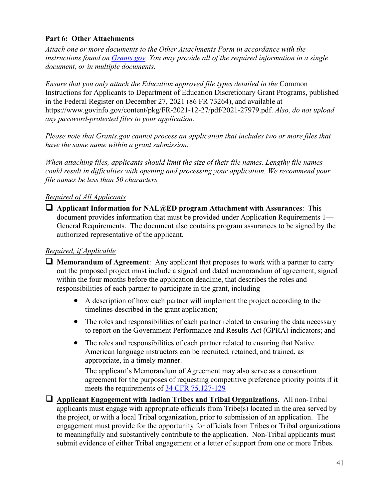## **Part 6: Other Attachments**

*Attach one or more documents to the Other Attachments Form in accordance with the instructions found on [Grants.gov.](https://www.grants.gov/web/grants/applicants/applicant-faqs.html#forms) You may provide all of the required information in a single document, or in multiple documents.* 

*Ensure that you only attach the Education approved file types detailed in the* Common Instructions for Applicants to Department of Education Discretionary Grant Programs, published in the Federal Register on December 27, 2021 (86 FR 73264), and available at https://www.govinfo.gov/content/pkg/FR-2021-12-27/pdf/2021-27979.pdf. *Also, do not upload any password-protected files to your application.*

*Please note that Grants.gov cannot process an application that includes two or more files that have the same name within a grant submission.* 

*When attaching files, applicants should limit the size of their file names. Lengthy file names could result in difficulties with opening and processing your application. We recommend your file names be less than 50 characters* 

## *Required of All Applicants*

 **Applicant Information for NAL@ED program Attachment with Assurances**: This document provides information that must be provided under Application Requirements 1— General Requirements. The document also contains program assurances to be signed by the authorized representative of the applicant.

## *Required, if Applicable*

- **Memorandum of Agreement**: Any applicant that proposes to work with a partner to carry out the proposed project must include a signed and dated memorandum of agreement, signed within the four months before the application deadline, that describes the roles and responsibilities of each partner to participate in the grant, including—
	- A description of how each partner will implement the project according to the timelines described in the grant application;
	- The roles and responsibilities of each partner related to ensuring the data necessary to report on the Government Performance and Results Act (GPRA) indicators; and
	- The roles and responsibilities of each partner related to ensuring that Native American language instructors can be recruited, retained, and trained, as appropriate, in a timely manner.

The applicant's Memorandum of Agreement may also serve as a consortium agreement for the purposes of requesting competitive preference priority points if it meets the requirements of [34 CFR 75.127-129](https://www.ecfr.gov/current/title-34/subtitle-A/part-75/subpart-C/subject-group-ECFR62b47a3afdf9b5d)

 **Applicant Engagement with Indian Tribes and Tribal Organizations.** All non-Tribal applicants must engage with appropriate officials from Tribe(s) located in the area served by the project, or with a local Tribal organization, prior to submission of an application. The engagement must provide for the opportunity for officials from Tribes or Tribal organizations to meaningfully and substantively contribute to the application. Non-Tribal applicants must submit evidence of either Tribal engagement or a letter of support from one or more Tribes.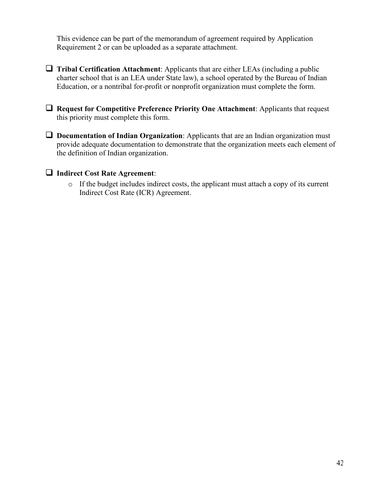This evidence can be part of the memorandum of agreement required by Application Requirement 2 or can be uploaded as a separate attachment.

- **Tribal Certification Attachment**: Applicants that are either LEAs (including a public charter school that is an LEA under State law), a school operated by the Bureau of Indian Education, or a nontribal for-profit or nonprofit organization must complete the form.
- **Request for Competitive Preference Priority One Attachment**: Applicants that request this priority must complete this form.
- **Documentation of Indian Organization**: Applicants that are an Indian organization must provide adequate documentation to demonstrate that the organization meets each element of the definition of Indian organization.

### **Indirect Cost Rate Agreement**:

o If the budget includes indirect costs, the applicant must attach a copy of its current Indirect Cost Rate (ICR) Agreement.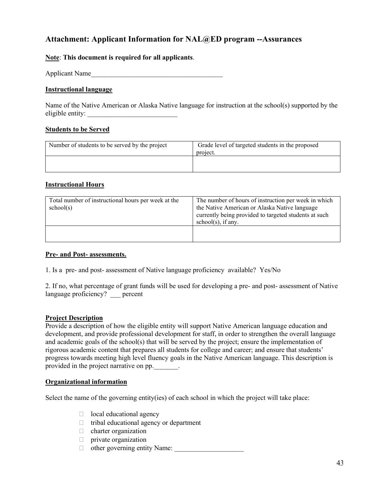## **Attachment: Applicant Information for NAL@ED program --Assurances**

**Note**: **This document is required for all applicants**.

Applicant Name

#### **Instructional language**

Name of the Native American or Alaska Native language for instruction at the school(s) supported by the eligible entity:

#### **Students to be Served**

| Number of students to be served by the project | Grade level of targeted students in the proposed<br>project. |
|------------------------------------------------|--------------------------------------------------------------|
|                                                |                                                              |

#### **Instructional Hours**

| Total number of instructional hours per week at the<br>school(s) | The number of hours of instruction per week in which<br>the Native American or Alaska Native language<br>currently being provided to targeted students at such<br>$school(s)$ , if any. |
|------------------------------------------------------------------|-----------------------------------------------------------------------------------------------------------------------------------------------------------------------------------------|
|                                                                  |                                                                                                                                                                                         |

#### **Pre- and Post- assessments.**

1. Is a pre- and post- assessment of Native language proficiency available? Yes/No

2. If no, what percentage of grant funds will be used for developing a pre- and post- assessment of Native language proficiency? percent

#### **Project Description**

Provide a description of how the eligible entity will support Native American language education and development, and provide professional development for staff, in order to strengthen the overall language and academic goals of the school(s) that will be served by the project; ensure the implementation of rigorous academic content that prepares all students for college and career; and ensure that students' progress towards meeting high level fluency goals in the Native American language. This description is provided in the project narrative on pp.\_\_\_\_\_\_\_.

#### **Organizational information**

Select the name of the governing entity(ies) of each school in which the project will take place:

- $\Box$  local educational agency
- $\Box$  tribal educational agency or department
- $\Box$  charter organization
- $\Box$  private organization
- $\Box$  other governing entity Name: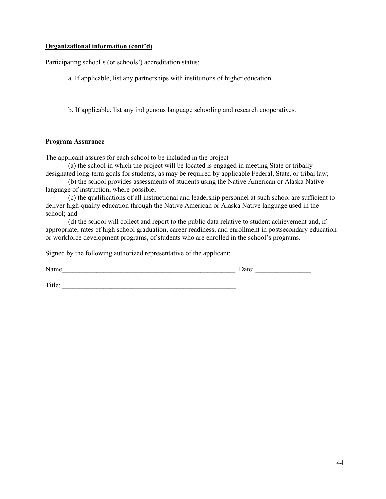#### **Organizational information (cont'd)**

Participating school's (or schools') accreditation status:

a. If applicable, list any partnerships with institutions of higher education.

b. If applicable, list any indigenous language schooling and research cooperatives.

#### **Program Assurance**

The applicant assures for each school to be included in the project—

(a) the school in which the project will be located is engaged in meeting State or tribally designated long-term goals for students, as may be required by applicable Federal, State, or tribal law;

(b) the school provides assessments of students using the Native American or Alaska Native language of instruction, where possible;

(c) the qualifications of all instructional and leadership personnel at such school are sufficient to deliver high-quality education through the Native American or Alaska Native language used in the school; and

(d) the school will collect and report to the public data relative to student achievement and, if appropriate, rates of high school graduation, career readiness, and enrollment in postsecondary education or workforce development programs, of students who are enrolled in the school's programs.

Signed by the following authorized representative of the applicant:

Name\_\_\_\_\_\_\_\_\_\_\_\_\_\_\_\_\_\_\_\_\_\_\_\_\_\_\_\_\_\_\_\_\_\_\_\_\_\_\_\_\_\_\_\_\_\_\_\_\_\_ Date: \_\_\_\_\_\_\_\_\_\_\_\_\_\_\_\_

Title: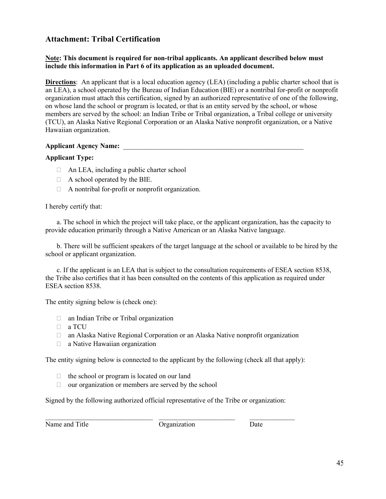## **Attachment: Tribal Certification**

#### **Note: This document is required for non-tribal applicants. An applicant described below must include this information in Part 6 of its application as an uploaded document.**

**Directions**: An applicant that is a local education agency (LEA) (including a public charter school that is an LEA), a school operated by the Bureau of Indian Education (BIE) or a nontribal for-profit or nonprofit organization must attach this certification, signed by an authorized representative of one of the following, on whose land the school or program is located, or that is an entity served by the school, or whose members are served by the school: an Indian Tribe or Tribal organization, a Tribal college or university (TCU), an Alaska Native Regional Corporation or an Alaska Native nonprofit organization, or a Native Hawaiian organization.

#### **Applicant Agency Name:** \_\_\_\_\_\_\_\_\_\_\_\_\_\_\_\_\_\_\_\_\_\_\_\_\_\_\_\_\_\_\_\_\_\_\_\_\_\_\_\_\_\_\_\_\_\_\_\_\_\_\_\_

#### **Applicant Type:**

- □ An LEA, including a public charter school
- $\Box$  A school operated by the BIE.
- $\Box$  A nontribal for-profit or nonprofit organization.

#### I hereby certify that:

a. The school in which the project will take place, or the applicant organization, has the capacity to provide education primarily through a Native American or an Alaska Native language.

b. There will be sufficient speakers of the target language at the school or available to be hired by the school or applicant organization.

c. If the applicant is an LEA that is subject to the consultation requirements of ESEA section 8538, the Tribe also certifies that it has been consulted on the contents of this application as required under ESEA section 8538.

The entity signing below is (check one):

- an Indian Tribe or Tribal organization
- n a TCU
- an Alaska Native Regional Corporation or an Alaska Native nonprofit organization
- a Native Hawaiian organization

The entity signing below is connected to the applicant by the following (check all that apply):

- $\Box$  the school or program is located on our land
- $\Box$  our organization or members are served by the school

Signed by the following authorized official representative of the Tribe or organization:

\_\_\_\_\_\_\_\_\_\_\_\_\_\_\_\_\_\_\_\_\_\_\_\_\_\_\_\_\_\_\_ \_\_\_\_\_\_\_\_\_\_\_\_\_\_\_\_\_\_\_\_\_\_ \_\_\_\_\_\_\_\_\_\_\_\_\_

Name and Title Contraction Contraction Date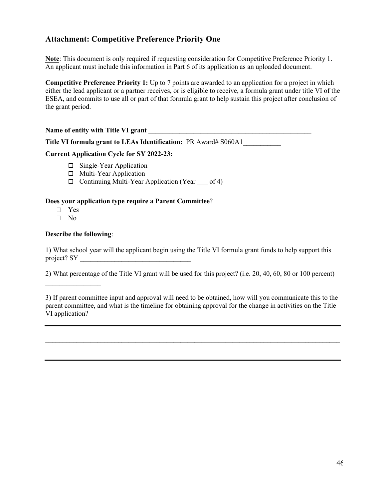## **Attachment: Competitive Preference Priority One**

**Note**: This document is only required if requesting consideration for Competitive Preference Priority 1. An applicant must include this information in Part 6 of its application as an uploaded document.

**Competitive Preference Priority 1:** Up to 7 points are awarded to an application for a project in which either the lead applicant or a partner receives, or is eligible to receive, a formula grant under title VI of the ESEA, and commits to use all or part of that formula grant to help sustain this project after conclusion of the grant period.

Name of entity with Title VI grant

**Title VI formula grant to LEAs Identification:** PR Award# S060A1**\_\_\_\_\_\_\_\_\_\_\_** 

#### **Current Application Cycle for SY 2022-23:**

- $\square$  Single-Year Application
- □ Multi-Year Application
- $\Box$  Continuing Multi-Year Application (Year of 4)

#### **Does your application type require a Parent Committee**?

- $\Box$  Yes
- $\neg$  No

#### **Describe the following**:

 $\frac{1}{2}$  ,  $\frac{1}{2}$  ,  $\frac{1}{2}$  ,  $\frac{1}{2}$  ,  $\frac{1}{2}$  ,  $\frac{1}{2}$  ,  $\frac{1}{2}$  ,  $\frac{1}{2}$ 

1) What school year will the applicant begin using the Title VI formula grant funds to help support this project? SY

2) What percentage of the Title VI grant will be used for this project? (i.e. 20, 40, 60, 80 or 100 percent)

3) If parent committee input and approval will need to be obtained, how will you communicate this to the parent committee, and what is the timeline for obtaining approval for the change in activities on the Title VI application?

\_\_\_\_\_\_\_\_\_\_\_\_\_\_\_\_\_\_\_\_\_\_\_\_\_\_\_\_\_\_\_\_\_\_\_\_\_\_\_\_\_\_\_\_\_\_\_\_\_\_\_\_\_\_\_\_\_\_\_\_\_\_\_\_\_\_\_\_\_\_\_\_\_\_\_\_\_\_\_\_\_\_\_\_\_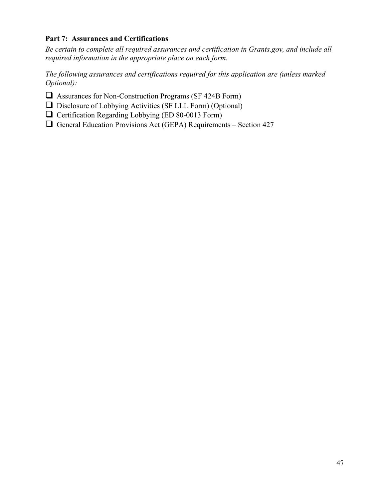## **Part 7: Assurances and Certifications**

*Be certain to complete all required assurances and certification in Grants.gov, and include all required information in the appropriate place on each form.*

*The following assurances and certifications required for this application are (unless marked Optional):*

- Assurances for Non-Construction Programs (SF 424B Form)
- $\Box$  Disclosure of Lobbying Activities (SF LLL Form) (Optional)
- $\Box$  Certification Regarding Lobbying (ED 80-0013 Form)
- $\Box$  General Education Provisions Act (GEPA) Requirements Section 427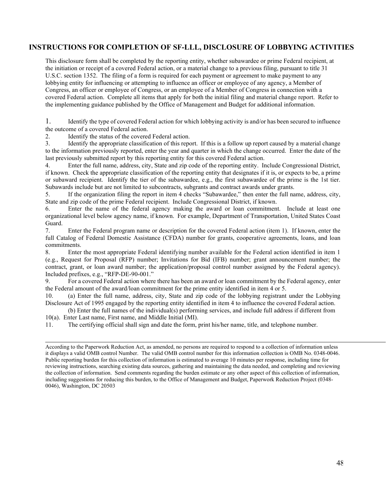## **INSTRUCTIONS FOR COMPLETION OF SF-LLL, DISCLOSURE OF LOBBYING ACTIVITIES**

This disclosure form shall be completed by the reporting entity, whether subawardee or prime Federal recipient, at the initiation or receipt of a covered Federal action, or a material change to a previous filing, pursuant to title 31 U.S.C. section 1352. The filing of a form is required for each payment or agreement to make payment to any lobbying entity for influencing or attempting to influence an officer or employee of any agency, a Member of Congress, an officer or employee of Congress, or an employee of a Member of Congress in connection with a covered Federal action. Complete all items that apply for both the initial filing and material change report. Refer to the implementing guidance published by the Office of Management and Budget for additional information.

1. Identify the type of covered Federal action for which lobbying activity is and/or has been secured to influence the outcome of a covered Federal action.

2. Identify the status of the covered Federal action.

3. Identify the appropriate classification of this report. If this is a follow up report caused by a material change to the information previously reported, enter the year and quarter in which the change occurred. Enter the date of the last previously submitted report by this reporting entity for this covered Federal action.

4. Enter the full name, address, city, State and zip code of the reporting entity. Include Congressional District, if known. Check the appropriate classification of the reporting entity that designates if it is, or expects to be, a prime or subaward recipient. Identify the tier of the subawardee, e.g., the first subawardee of the prime is the 1st tier. Subawards include but are not limited to subcontracts, subgrants and contract awards under grants.

5. If the organization filing the report in item 4 checks "Subawardee," then enter the full name, address, city, State and zip code of the prime Federal recipient. Include Congressional District, if known.

6. Enter the name of the federal agency making the award or loan commitment. Include at least one organizational level below agency name, if known. For example, Department of Transportation, United States Coast Guard.

7. Enter the Federal program name or description for the covered Federal action (item 1). If known, enter the full Catalog of Federal Domestic Assistance (CFDA) number for grants, cooperative agreements, loans, and loan commitments.

8. Enter the most appropriate Federal identifying number available for the Federal action identified in item 1 (e.g., Request for Proposal (RFP) number; Invitations for Bid (IFB) number; grant announcement number; the contract, grant, or loan award number; the application/proposal control number assigned by the Federal agency). Included prefixes, e.g., "RFP-DE-90-001."

9. For a covered Federal action where there has been an award or loan commitment by the Federal agency, enter the Federal amount of the award/loan commitment for the prime entity identified in item 4 or 5.

10. (a) Enter the full name, address, city, State and zip code of the lobbying registrant under the Lobbying Disclosure Act of 1995 engaged by the reporting entity identified in item 4 to influence the covered Federal action.

(b) Enter the full names of the individual(s) performing services, and include full address if different from 10(a). Enter Last name, First name, and Middle Initial (MI).

11. The certifying official shall sign and date the form, print his/her name, title, and telephone number.

According to the Paperwork Reduction Act, as amended, no persons are required to respond to a collection of information unless it displays a valid OMB control Number. The valid OMB control number for this information collection is OMB No. 0348-0046. Public reporting burden for this collection of information is estimated to average 10 minutes per response, including time for reviewing instructions, searching existing data sources, gathering and maintaining the data needed, and completing and reviewing the collection of information. Send comments regarding the burden estimate or any other aspect of this collection of information, including suggestions for reducing this burden, to the Office of Management and Budget, Paperwork Reduction Project (0348- 0046), Washington, DC 20503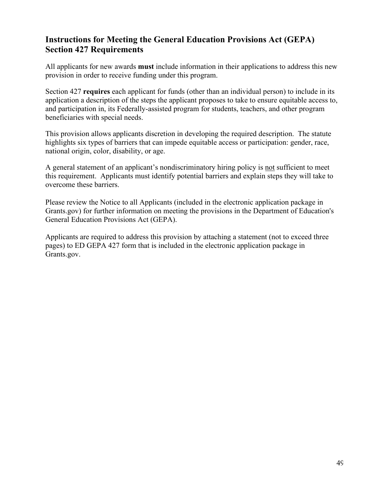# **Instructions for Meeting the General Education Provisions Act (GEPA) Section 427 Requirements**

All applicants for new awards **must** include information in their applications to address this new provision in order to receive funding under this program.

Section 427 **requires** each applicant for funds (other than an individual person) to include in its application a description of the steps the applicant proposes to take to ensure equitable access to, and participation in, its Federally-assisted program for students, teachers, and other program beneficiaries with special needs.

This provision allows applicants discretion in developing the required description. The statute highlights six types of barriers that can impede equitable access or participation: gender, race, national origin, color, disability, or age.

A general statement of an applicant's nondiscriminatory hiring policy is not sufficient to meet this requirement. Applicants must identify potential barriers and explain steps they will take to overcome these barriers.

Please review the Notice to all Applicants (included in the electronic application package in Grants.gov) for further information on meeting the provisions in the Department of Education's General Education Provisions Act (GEPA).

Applicants are required to address this provision by attaching a statement (not to exceed three pages) to ED GEPA 427 form that is included in the electronic application package in Grants.gov.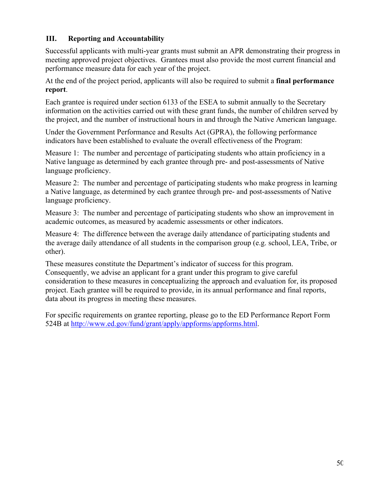## **III. Reporting and Accountability**

Successful applicants with multi-year grants must submit an APR demonstrating their progress in meeting approved project objectives. Grantees must also provide the most current financial and performance measure data for each year of the project.

At the end of the project period, applicants will also be required to submit a **final performance report**.

Each grantee is required under section 6133 of the ESEA to submit annually to the Secretary information on the activities carried out with these grant funds, the number of children served by the project, and the number of instructional hours in and through the Native American language.

Under the Government Performance and Results Act (GPRA), the following performance indicators have been established to evaluate the overall effectiveness of the Program:

Measure 1: The number and percentage of participating students who attain proficiency in a Native language as determined by each grantee through pre- and post-assessments of Native language proficiency.

Measure 2: The number and percentage of participating students who make progress in learning a Native language, as determined by each grantee through pre- and post-assessments of Native language proficiency.

Measure 3: The number and percentage of participating students who show an improvement in academic outcomes, as measured by academic assessments or other indicators.

Measure 4: The difference between the average daily attendance of participating students and the average daily attendance of all students in the comparison group (e.g. school, LEA, Tribe, or other).

These measures constitute the Department's indicator of success for this program. Consequently, we advise an applicant for a grant under this program to give careful consideration to these measures in conceptualizing the approach and evaluation for, its proposed project. Each grantee will be required to provide, in its annual performance and final reports, data about its progress in meeting these measures.

For specific requirements on grantee reporting, please go to the ED Performance Report Form 524B at [http://www.ed.gov/fund/grant/apply/appforms/appforms.html.](http://www.ed.gov/fund/grant/apply/appforms/appforms.html)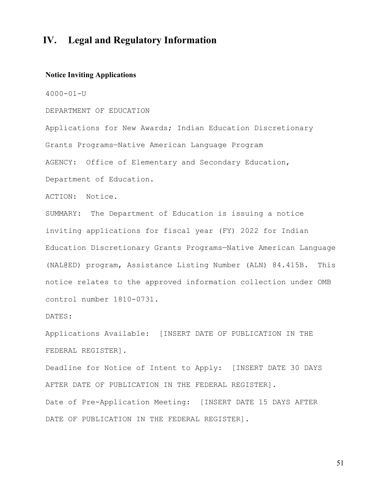# **IV. Legal and Regulatory Information**

#### **Notice Inviting Applications**

4000-01-U

#### DEPARTMENT OF EDUCATION

Applications for New Awards; Indian Education Discretionary Grants Programs—Native American Language Program AGENCY: Office of Elementary and Secondary Education, Department of Education.

ACTION: Notice.

SUMMARY: The Department of Education is issuing a notice inviting applications for fiscal year (FY) 2022 for Indian Education Discretionary Grants Programs—Native American Language (NAL@ED) program, Assistance Listing Number (ALN) 84.415B. This notice relates to the approved information collection under OMB control number 1810-0731.

DATES:

Applications Available: [INSERT DATE OF PUBLICATION IN THE FEDERAL REGISTER].

Deadline for Notice of Intent to Apply: [INSERT DATE 30 DAYS AFTER DATE OF PUBLICATION IN THE FEDERAL REGISTER].

Date of Pre-Application Meeting: [INSERT DATE 15 DAYS AFTER DATE OF PUBLICATION IN THE FEDERAL REGISTER].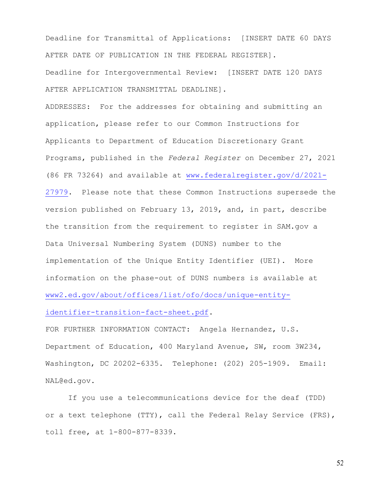Deadline for Transmittal of Applications: [INSERT DATE 60 DAYS AFTER DATE OF PUBLICATION IN THE FEDERAL REGISTER].

Deadline for Intergovernmental Review: [INSERT DATE 120 DAYS AFTER APPLICATION TRANSMITTAL DEADLINE].

ADDRESSES: For the addresses for obtaining and submitting an application, please refer to our Common Instructions for Applicants to Department of Education Discretionary Grant Programs, published in the *Federal Register* on December 27, 2021 (86 FR 73264) and available at [www.federalregister.gov/d/2021-](http://www.federalregister.gov/d/2021-27979) [27979.](http://www.federalregister.gov/d/2021-27979) Please note that these Common Instructions supersede the version published on February 13, 2019, and, in part, describe the transition from the requirement to register in SAM.gov a Data Universal Numbering System (DUNS) number to the implementation of the Unique Entity Identifier (UEI). More information on the phase-out of DUNS numbers is available at [www2.ed.gov/about/offices/list/ofo/docs/unique-entity](https://www2.ed.gov/about/offices/list/ofo/docs/unique-entity-identifier-transition-fact-sheet.pdf)[identifier-transition-fact-sheet.pdf.](https://www2.ed.gov/about/offices/list/ofo/docs/unique-entity-identifier-transition-fact-sheet.pdf)

FOR FURTHER INFORMATION CONTACT: Angela Hernandez, U.S. Department of Education, 400 Maryland Avenue, SW, room 3W234, Washington, DC 20202-6335. Telephone: (202) 205-1909. Email: NAL@ed.gov.

If you use a telecommunications device for the deaf (TDD) or a text telephone (TTY), call the Federal Relay Service (FRS), toll free, at 1-800-877-8339.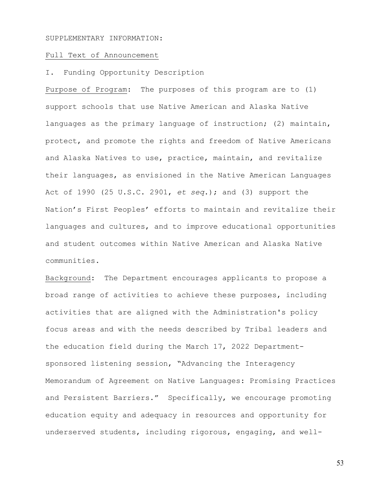#### SUPPLEMENTARY INFORMATION:

#### Full Text of Announcement

#### I. Funding Opportunity Description

Purpose of Program: The purposes of this program are to (1) support schools that use Native American and Alaska Native languages as the primary language of instruction; (2) maintain, protect, and promote the rights and freedom of Native Americans and Alaska Natives to use, practice, maintain, and revitalize their languages, as envisioned in the Native American Languages Act of 1990 (25 U.S.C. 2901, *et seq*.); and (3) support the Nation's First Peoples' efforts to maintain and revitalize their languages and cultures, and to improve educational opportunities and student outcomes within Native American and Alaska Native communities.

Background: The Department encourages applicants to propose a broad range of activities to achieve these purposes, including activities that are aligned with the Administration's policy focus areas and with the needs described by Tribal leaders and the education field during the March 17, 2022 Departmentsponsored listening session, "Advancing the Interagency Memorandum of Agreement on Native Languages: Promising Practices and Persistent Barriers." Specifically, we encourage promoting education equity and adequacy in resources and opportunity for underserved students, including rigorous, engaging, and well-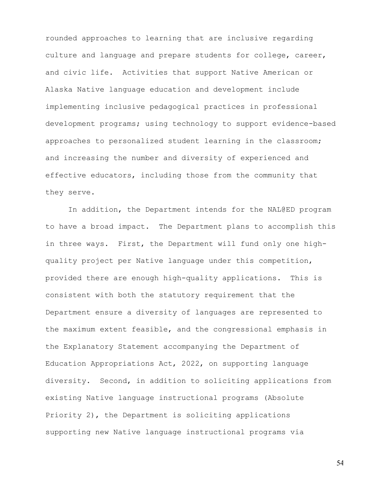rounded approaches to learning that are inclusive regarding culture and language and prepare students for college, career, and civic life. Activities that support Native American or Alaska Native language education and development include implementing inclusive pedagogical practices in professional development programs; using technology to support evidence-based approaches to personalized student learning in the classroom; and increasing the number and diversity of experienced and effective educators, including those from the community that they serve.

In addition, the Department intends for the NAL@ED program to have a broad impact. The Department plans to accomplish this in three ways. First, the Department will fund only one highquality project per Native language under this competition, provided there are enough high-quality applications. This is consistent with both the statutory requirement that the Department ensure a diversity of languages are represented to the maximum extent feasible, and the congressional emphasis in the Explanatory Statement accompanying the Department of Education Appropriations Act, 2022, on supporting language diversity. Second, in addition to soliciting applications from existing Native language instructional programs (Absolute Priority 2), the Department is soliciting applications supporting new Native language instructional programs via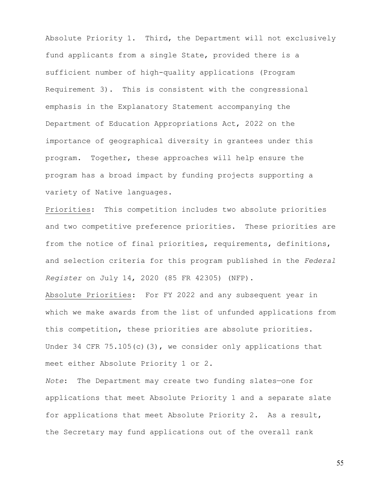Absolute Priority 1. Third, the Department will not exclusively fund applicants from a single State, provided there is a sufficient number of high-quality applications (Program Requirement 3). This is consistent with the congressional emphasis in the Explanatory Statement accompanying the Department of Education Appropriations Act, 2022 on the importance of geographical diversity in grantees under this program. Together, these approaches will help ensure the program has a broad impact by funding projects supporting a variety of Native languages.

Priorities: This competition includes two absolute priorities and two competitive preference priorities. These priorities are from the notice of final priorities, requirements, definitions, and selection criteria for this program published in the *Federal Register* on July 14, 2020 (85 FR 42305) (NFP).

Absolute Priorities: For FY 2022 and any subsequent year in which we make awards from the list of unfunded applications from this competition, these priorities are absolute priorities. Under 34 CFR 75.105(c)(3), we consider only applications that meet either Absolute Priority 1 or 2.

*Note*: The Department may create two funding slates—one for applications that meet Absolute Priority 1 and a separate slate for applications that meet Absolute Priority 2. As a result, the Secretary may fund applications out of the overall rank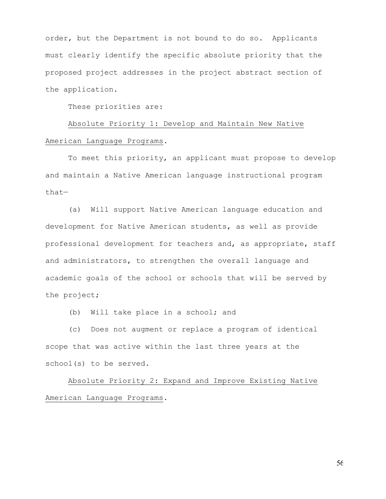order, but the Department is not bound to do so. Applicants must clearly identify the specific absolute priority that the proposed project addresses in the project abstract section of the application.

These priorities are:

 Absolute Priority 1: Develop and Maintain New Native American Language Programs.

 To meet this priority, an applicant must propose to develop and maintain a Native American language instructional program that—

 (a) Will support Native American language education and development for Native American students, as well as provide professional development for teachers and, as appropriate, staff and administrators, to strengthen the overall language and academic goals of the school or schools that will be served by the project;

(b) Will take place in a school; and

 (c) Does not augment or replace a program of identical scope that was active within the last three years at the school(s) to be served.

 Absolute Priority 2: Expand and Improve Existing Native American Language Programs.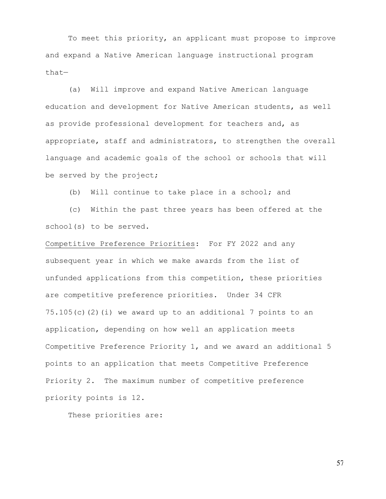To meet this priority, an applicant must propose to improve and expand a Native American language instructional program that—

 (a) Will improve and expand Native American language education and development for Native American students, as well as provide professional development for teachers and, as appropriate, staff and administrators, to strengthen the overall language and academic goals of the school or schools that will be served by the project;

(b) Will continue to take place in a school; and

 (c) Within the past three years has been offered at the school(s) to be served.

Competitive Preference Priorities: For FY 2022 and any subsequent year in which we make awards from the list of unfunded applications from this competition, these priorities are competitive preference priorities. Under 34 CFR 75.105(c)(2)(i) we award up to an additional 7 points to an application, depending on how well an application meets Competitive Preference Priority 1, and we award an additional 5 points to an application that meets Competitive Preference Priority 2. The maximum number of competitive preference priority points is 12.

These priorities are: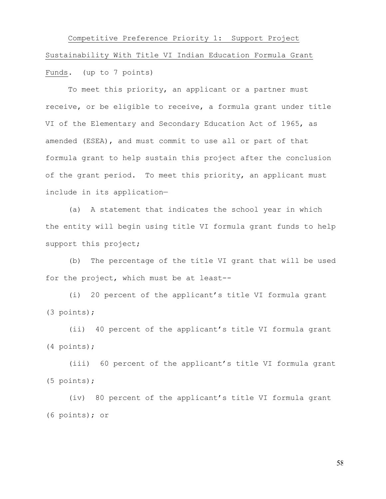Competitive Preference Priority 1: Support Project Sustainability With Title VI Indian Education Formula Grant Funds. (up to 7 points)

 To meet this priority, an applicant or a partner must receive, or be eligible to receive, a formula grant under title VI of the Elementary and Secondary Education Act of 1965, as amended (ESEA), and must commit to use all or part of that formula grant to help sustain this project after the conclusion of the grant period. To meet this priority, an applicant must include in its application—

 (a) A statement that indicates the school year in which the entity will begin using title VI formula grant funds to help support this project;

 (b) The percentage of the title VI grant that will be used for the project, which must be at least--

(i) 20 percent of the applicant's title VI formula grant (3 points);

(ii) 40 percent of the applicant's title VI formula grant (4 points);

(iii) 60 percent of the applicant's title VI formula grant (5 points);

 (iv) 80 percent of the applicant's title VI formula grant (6 points); or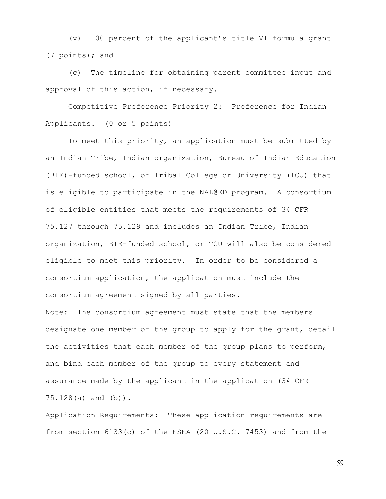(v) 100 percent of the applicant's title VI formula grant (7 points); and

(c) The timeline for obtaining parent committee input and approval of this action, if necessary.

Competitive Preference Priority 2: Preference for Indian Applicants. (0 or 5 points)

To meet this priority, an application must be submitted by an Indian Tribe, Indian organization, Bureau of Indian Education (BIE)-funded school, or Tribal College or University (TCU) that is eligible to participate in the NAL@ED program. A consortium of eligible entities that meets the requirements of 34 CFR 75.127 through 75.129 and includes an Indian Tribe, Indian organization, BIE-funded school, or TCU will also be considered eligible to meet this priority. In order to be considered a consortium application, the application must include the consortium agreement signed by all parties.

Note: The consortium agreement must state that the members designate one member of the group to apply for the grant, detail the activities that each member of the group plans to perform, and bind each member of the group to every statement and assurance made by the applicant in the application (34 CFR 75.128(a) and (b)).

Application Requirements: These application requirements are from section 6133(c) of the ESEA (20 U.S.C. 7453) and from the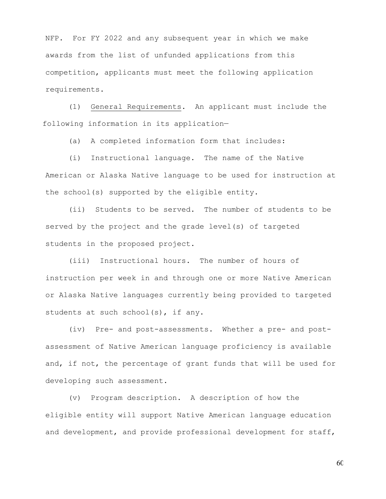NFP. For FY 2022 and any subsequent year in which we make awards from the list of unfunded applications from this competition, applicants must meet the following application requirements.

 (1) General Requirements. An applicant must include the following information in its application—

(a) A completed information form that includes:

(i) Instructional language. The name of the Native American or Alaska Native language to be used for instruction at the school(s) supported by the eligible entity.

(ii) Students to be served. The number of students to be served by the project and the grade level(s) of targeted students in the proposed project.

(iii) Instructional hours. The number of hours of instruction per week in and through one or more Native American or Alaska Native languages currently being provided to targeted students at such school(s), if any.

(iv) Pre- and post-assessments. Whether a pre- and postassessment of Native American language proficiency is available and, if not, the percentage of grant funds that will be used for developing such assessment.

(v) Program description. A description of how the eligible entity will support Native American language education and development, and provide professional development for staff,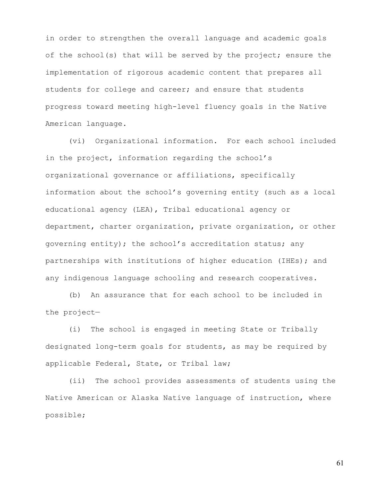in order to strengthen the overall language and academic goals of the school(s) that will be served by the project; ensure the implementation of rigorous academic content that prepares all students for college and career; and ensure that students progress toward meeting high-level fluency goals in the Native American language.

(vi) Organizational information. For each school included in the project, information regarding the school's organizational governance or affiliations, specifically information about the school's governing entity (such as a local educational agency (LEA), Tribal educational agency or department, charter organization, private organization, or other governing entity); the school's accreditation status; any partnerships with institutions of higher education (IHEs); and any indigenous language schooling and research cooperatives.

(b) An assurance that for each school to be included in the project—

(i) The school is engaged in meeting State or Tribally designated long-term goals for students, as may be required by applicable Federal, State, or Tribal law;

(ii) The school provides assessments of students using the Native American or Alaska Native language of instruction, where possible;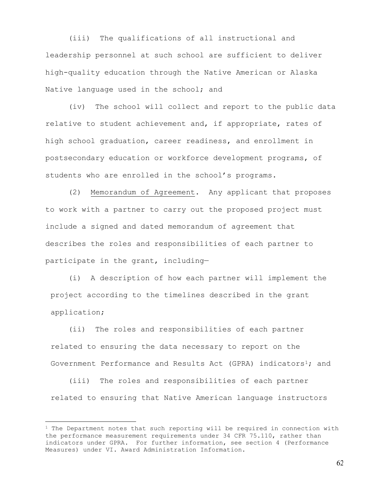(iii) The qualifications of all instructional and leadership personnel at such school are sufficient to deliver high-quality education through the Native American or Alaska Native language used in the school; and

(iv) The school will collect and report to the public data relative to student achievement and, if appropriate, rates of high school graduation, career readiness, and enrollment in postsecondary education or workforce development programs, of students who are enrolled in the school's programs.

(2) Memorandum of Agreement. Any applicant that proposes to work with a partner to carry out the proposed project must include a signed and dated memorandum of agreement that describes the roles and responsibilities of each partner to participate in the grant, including—

 (i) A description of how each partner will implement the project according to the timelines described in the grant application;

 (ii) The roles and responsibilities of each partner related to ensuring the data necessary to report on the Government Performance and Results Act (GPRA) indicators<sup>1</sup>; and

 (iii) The roles and responsibilities of each partner related to ensuring that Native American language instructors

<span id="page-61-0"></span> $1$  The Department notes that such reporting will be required in connection with the performance measurement requirements under 34 CFR 75.110, rather than indicators under GPRA. For further information, see section 4 (Performance Measures) under VI. Award Administration Information.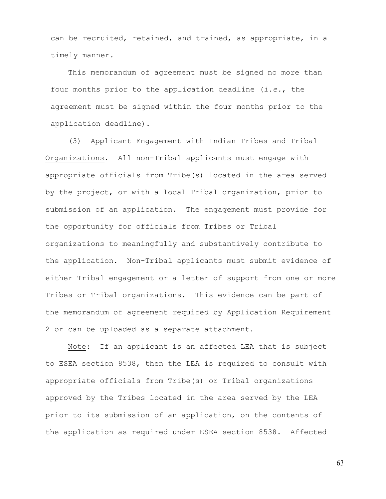can be recruited, retained, and trained, as appropriate, in a timely manner.

 This memorandum of agreement must be signed no more than four months prior to the application deadline (*i.e.*, the agreement must be signed within the four months prior to the application deadline).

(3) Applicant Engagement with Indian Tribes and Tribal Organizations. All non-Tribal applicants must engage with appropriate officials from Tribe(s) located in the area served by the project, or with a local Tribal organization, prior to submission of an application. The engagement must provide for the opportunity for officials from Tribes or Tribal organizations to meaningfully and substantively contribute to the application. Non-Tribal applicants must submit evidence of either Tribal engagement or a letter of support from one or more Tribes or Tribal organizations. This evidence can be part of the memorandum of agreement required by Application Requirement 2 or can be uploaded as a separate attachment.

Note: If an applicant is an affected LEA that is subject to ESEA section 8538, then the LEA is required to consult with appropriate officials from Tribe(s) or Tribal organizations approved by the Tribes located in the area served by the LEA prior to its submission of an application, on the contents of the application as required under ESEA section 8538. Affected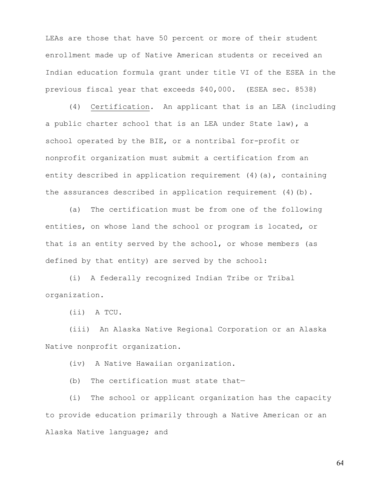LEAs are those that have 50 percent or more of their student enrollment made up of Native American students or received an Indian education formula grant under title VI of the ESEA in the previous fiscal year that exceeds \$40,000. (ESEA sec. 8538)

(4) Certification*.* An applicant that is an LEA (including a public charter school that is an LEA under State law), a school operated by the BIE, or a nontribal for-profit or nonprofit organization must submit a certification from an entity described in application requirement  $(4)$  (a), containing the assurances described in application requirement (4)(b).

(a) The certification must be from one of the following entities, on whose land the school or program is located, or that is an entity served by the school, or whose members (as defined by that entity) are served by the school:

(i) A federally recognized Indian Tribe or Tribal organization.

(ii) A TCU.

(iii) An Alaska Native Regional Corporation or an Alaska Native nonprofit organization.

(iv) A Native Hawaiian organization.

(b) The certification must state that—

(i) The school or applicant organization has the capacity to provide education primarily through a Native American or an Alaska Native language; and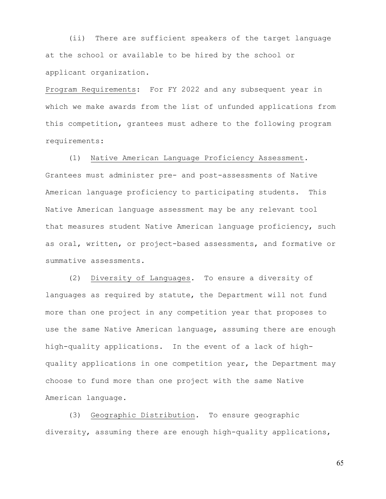(ii) There are sufficient speakers of the target language at the school or available to be hired by the school or applicant organization.

Program Requirements: For FY 2022 and any subsequent year in which we make awards from the list of unfunded applications from this competition, grantees must adhere to the following program requirements:

(1) Native American Language Proficiency Assessment.

Grantees must administer pre- and post-assessments of Native American language proficiency to participating students. This Native American language assessment may be any relevant tool that measures student Native American language proficiency, such as oral, written, or project-based assessments, and formative or summative assessments.

 (2) Diversity of Languages. To ensure a diversity of languages as required by statute, the Department will not fund more than one project in any competition year that proposes to use the same Native American language, assuming there are enough high-quality applications. In the event of a lack of highquality applications in one competition year, the Department may choose to fund more than one project with the same Native American language.

 (3) Geographic Distribution. To ensure geographic diversity, assuming there are enough high-quality applications,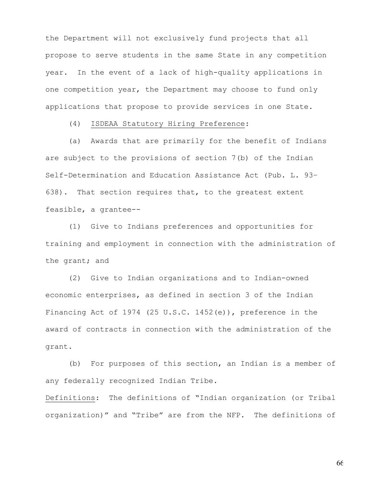the Department will not exclusively fund projects that all propose to serve students in the same State in any competition year. In the event of a lack of high-quality applications in one competition year, the Department may choose to fund only applications that propose to provide services in one State.

#### (4) ISDEAA Statutory Hiring Preference:

(a) Awards that are primarily for the benefit of Indians are subject to the provisions of section 7(b) of the Indian Self-Determination and Education Assistance Act (Pub. L. 93– 638). That section requires that, to the greatest extent feasible, a grantee--

(1) Give to Indians preferences and opportunities for training and employment in connection with the administration of the grant; and

(2) Give to Indian organizations and to Indian-owned economic enterprises, as defined in section 3 of the Indian Financing Act of 1974 (25 U.S.C. 1452(e)), preference in the award of contracts in connection with the administration of the grant.

(b) For purposes of this section, an Indian is a member of any federally recognized Indian Tribe.

Definitions: The definitions of "Indian organization (or Tribal organization)" and "Tribe" are from the NFP. The definitions of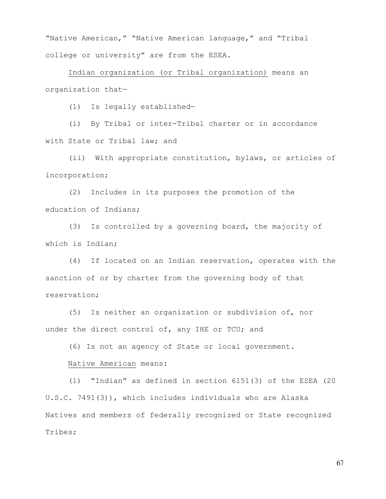"Native American," "Native American language," and "Tribal college or university" are from the ESEA.

Indian organization (or Tribal organization) means an organization that—

(1) Is legally established—

(i) By Tribal or inter-Tribal charter or in accordance with State or Tribal law; and

(ii) With appropriate constitution, bylaws, or articles of incorporation;

(2) Includes in its purposes the promotion of the education of Indians;

(3) Is controlled by a governing board, the majority of which is Indian;

(4) If located on an Indian reservation, operates with the sanction of or by charter from the governing body of that reservation;

(5) Is neither an organization or subdivision of, nor under the direct control of, any IHE or TCU; and

(6) Is not an agency of State or local government.

#### Native American means:

(1) "Indian" as defined in section 6151(3) of the ESEA (20 U.S.C. 7491(3)), which includes individuals who are Alaska Natives and members of federally recognized or State recognized Tribes;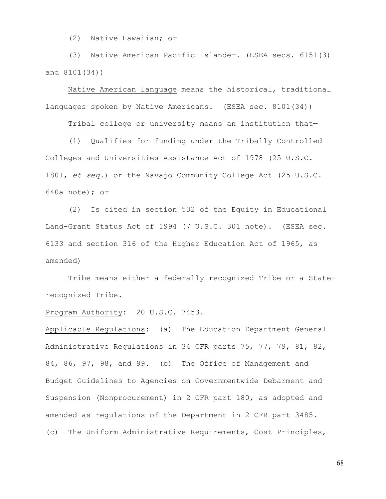(2) Native Hawaiian; or

(3) Native American Pacific Islander. (ESEA secs. 6151(3) and 8101(34))

Native American language means the historical, traditional languages spoken by Native Americans. (ESEA sec. 8101(34))

Tribal college or university means an institution that—

(1) Qualifies for funding under the Tribally Controlled Colleges and Universities Assistance Act of 1978 (25 U.S.C. 1801, *et seq.*) or the Navajo Community College Act (25 U.S.C. 640a note); or

(2) Is cited in section 532 of the Equity in Educational Land-Grant Status Act of 1994 (7 U.S.C. 301 note). (ESEA sec. 6133 and section 316 of the Higher Education Act of 1965, as amended)

Tribe means either a federally recognized Tribe or a Staterecognized Tribe.

Program Authority: 20 U.S.C. 7453.

Applicable Regulations: (a) The Education Department General Administrative Regulations in 34 CFR parts 75, 77, 79, 81, 82, 84, 86, 97, 98, and 99. (b) The Office of Management and Budget Guidelines to Agencies on Governmentwide Debarment and Suspension (Nonprocurement) in 2 CFR part 180, as adopted and amended as regulations of the Department in 2 CFR part 3485. (c) The Uniform Administrative Requirements, Cost Principles,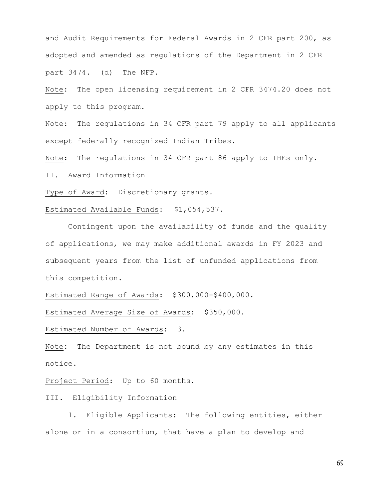and Audit Requirements for Federal Awards in 2 CFR part 200, as adopted and amended as regulations of the Department in 2 CFR part 3474. (d) The NFP.

Note: The open licensing requirement in 2 CFR 3474.20 does not apply to this program.

Note: The regulations in 34 CFR part 79 apply to all applicants except federally recognized Indian Tribes.

Note: The regulations in 34 CFR part 86 apply to IHEs only.

II. Award Information

Type of Award: Discretionary grants.

Estimated Available Funds: \$1,054,537.

Contingent upon the availability of funds and the quality of applications, we may make additional awards in FY 2023 and subsequent years from the list of unfunded applications from this competition.

Estimated Range of Awards: \$300,000-\$400,000.

Estimated Average Size of Awards: \$350,000.

Estimated Number of Awards:3.

Note**:** The Department is not bound by any estimates in this notice.

Project Period: Up to 60 months.

III. Eligibility Information

 1. Eligible Applicants: The following entities, either alone or in a consortium, that have a plan to develop and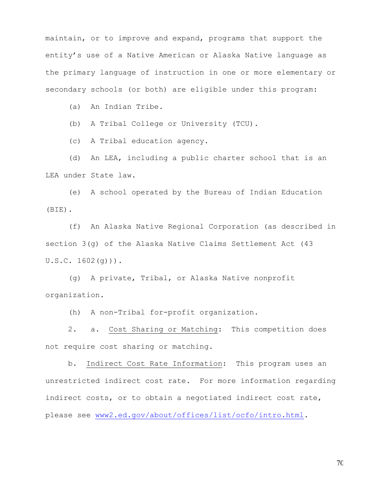maintain, or to improve and expand, programs that support the entity's use of a Native American or Alaska Native language as the primary language of instruction in one or more elementary or secondary schools (or both) are eligible under this program:

(a) An Indian Tribe.

(b) A Tribal College or University (TCU).

(c) A Tribal education agency.

(d) An LEA, including a public charter school that is an LEA under State law.

(e) A school operated by the Bureau of Indian Education (BIE).

(f) An Alaska Native Regional Corporation (as described in section 3(g) of the Alaska Native Claims Settlement Act (43  $U.S.C. 1602(q))$ .

(g) A private, Tribal, or Alaska Native nonprofit organization.

(h) A non-Tribal for-profit organization.

2. a. Cost Sharing or Matching: This competition does not require cost sharing or matching.

b. Indirect Cost Rate Information: This program uses an unrestricted indirect cost rate. For more information regarding indirect costs, or to obtain a negotiated indirect cost rate, please see [www2.ed.gov/about/offices/list/ocfo/intro.html.](https://www2.ed.gov/about/offices/list/ocfo/intro.html)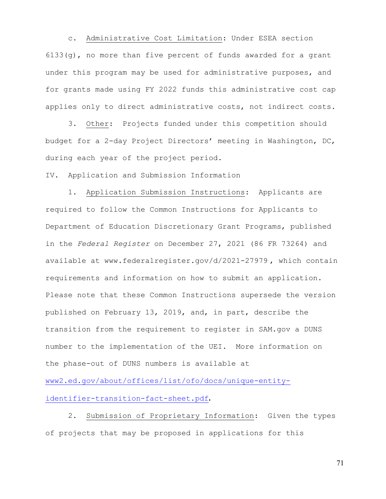c. Administrative Cost Limitation: Under ESEA section 6133(g), no more than five percent of funds awarded for a grant under this program may be used for administrative purposes, and for grants made using FY 2022 funds this administrative cost cap applies only to direct administrative costs, not indirect costs.

3. Other: Projects funded under this competition should budget for a 2-day Project Directors' meeting in Washington, DC, during each year of the project period.

IV. Application and Submission Information

 1. Application Submission Instructions: Applicants are required to follow the Common Instructions for Applicants to Department of Education Discretionary Grant Programs, published in the *Federal Register* on December 27, 2021 (86 FR 73264) and available at www.federalregister.gov/d/2021-27979 , which contain requirements and information on how to submit an application. Please note that these Common Instructions supersede the version published on February 13, 2019, and, in part, describe the transition from the requirement to register in SAM.gov a DUNS number to the implementation of the UEI. More information on the phase-out of DUNS numbers is available at

[www2.ed.gov/about/offices/list/ofo/docs/unique-entity](https://www2.ed.gov/about/offices/list/ofo/docs/unique-entity-identifier-transition-fact-sheet.pdf)[identifier-transition-fact-sheet.pdf](https://www2.ed.gov/about/offices/list/ofo/docs/unique-entity-identifier-transition-fact-sheet.pdf)**.**

 2. Submission of Proprietary Information: Given the types of projects that may be proposed in applications for this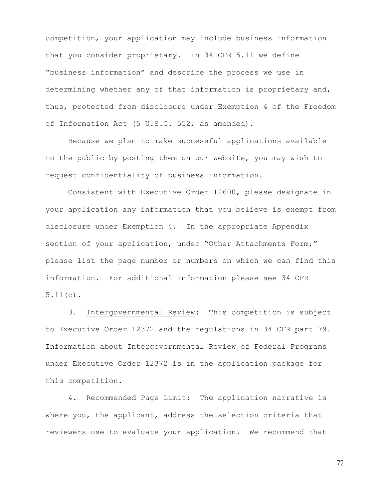competition, your application may include business information that you consider proprietary. In 34 CFR 5.11 we define "business information" and describe the process we use in determining whether any of that information is proprietary and, thus, protected from disclosure under Exemption 4 of the Freedom of Information Act (5 U.S.C. 552, as amended).

Because we plan to make successful applications available to the public by posting them on our website, you may wish to request confidentiality of business information.

 Consistent with Executive Order 12600, please designate in your application any information that you believe is exempt from disclosure under Exemption 4. In the appropriate Appendix section of your application, under "Other Attachments Form," please list the page number or numbers on which we can find this information. For additional information please see 34 CFR 5.11(c).

3. Intergovernmental Review: This competition is subject to Executive Order 12372 and the regulations in 34 CFR part 79. Information about Intergovernmental Review of Federal Programs under Executive Order 12372 is in the application package for this competition.

4. Recommended Page Limit: The application narrative is where you, the applicant, address the selection criteria that reviewers use to evaluate your application. We recommend that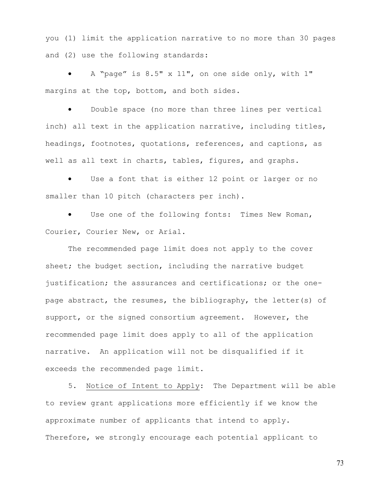you (1) limit the application narrative to no more than 30 pages and (2) use the following standards:

• A "page" is 8.5" x 11", on one side only, with 1" margins at the top, bottom, and both sides.

Double space (no more than three lines per vertical inch) all text in the application narrative, including titles, headings, footnotes, quotations, references, and captions, as well as all text in charts, tables, figures, and graphs.

• Use a font that is either 12 point or larger or no smaller than 10 pitch (characters per inch).

Use one of the following fonts: Times New Roman, Courier, Courier New, or Arial.

 The recommended page limit does not apply to the cover sheet; the budget section, including the narrative budget justification; the assurances and certifications; or the onepage abstract, the resumes, the bibliography, the letter(s) of support, or the signed consortium agreement. However, the recommended page limit does apply to all of the application narrative. An application will not be disqualified if it exceeds the recommended page limit.

 5. Notice of Intent to Apply: The Department will be able to review grant applications more efficiently if we know the approximate number of applicants that intend to apply. Therefore, we strongly encourage each potential applicant to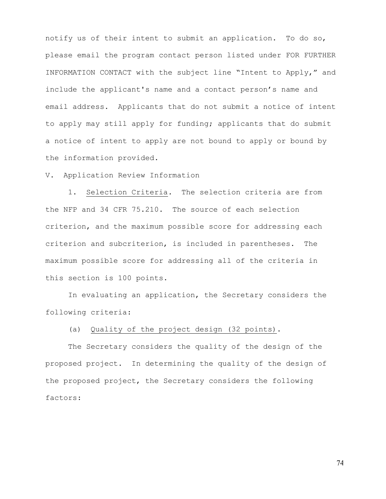notify us of their intent to submit an application. To do so, please email the program contact person listed under FOR FURTHER INFORMATION CONTACT with the subject line "Intent to Apply," and include the applicant's name and a contact person's name and email address. Applicants that do not submit a notice of intent to apply may still apply for funding; applicants that do submit a notice of intent to apply are not bound to apply or bound by the information provided.

V. Application Review Information

 1. Selection Criteria*.* The selection criteria are from the NFP and 34 CFR 75.210. The source of each selection criterion, and the maximum possible score for addressing each criterion and subcriterion, is included in parentheses. The maximum possible score for addressing all of the criteria in this section is 100 points.

 In evaluating an application, the Secretary considers the following criteria:

(a) Quality of the project design (32 points).

The Secretary considers the quality of the design of the proposed project. In determining the quality of the design of the proposed project, the Secretary considers the following factors: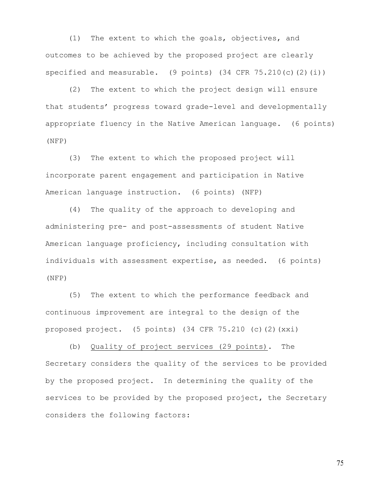(1) The extent to which the goals, objectives, and outcomes to be achieved by the proposed project are clearly specified and measurable.  $(9 \text{ points})$   $(34 \text{ CFR } 75.210(c)(2)(i))$ 

(2) The extent to which the project design will ensure that students' progress toward grade-level and developmentally appropriate fluency in the Native American language. (6 points) (NFP)

(3) The extent to which the proposed project will incorporate parent engagement and participation in Native American language instruction. (6 points) (NFP)

(4) The quality of the approach to developing and administering pre- and post-assessments of student Native American language proficiency, including consultation with individuals with assessment expertise, as needed. (6 points) (NFP)

(5) The extent to which the performance feedback and continuous improvement are integral to the design of the proposed project. (5 points) (34 CFR 75.210 (c)(2)(xxi)

(b) Quality of project services (29 points). The Secretary considers the quality of the services to be provided by the proposed project. In determining the quality of the services to be provided by the proposed project, the Secretary considers the following factors: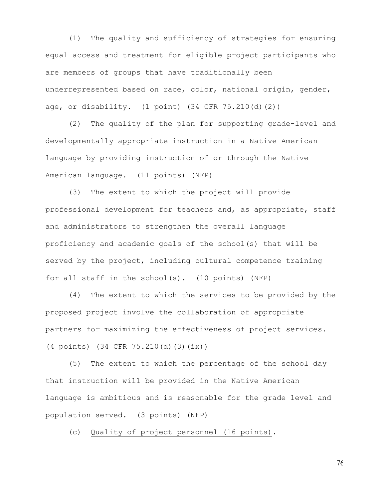(1) The quality and sufficiency of strategies for ensuring equal access and treatment for eligible project participants who are members of groups that have traditionally been underrepresented based on race, color, national origin, gender, age, or disability. (1 point) (34 CFR 75.210(d)(2))

(2) The quality of the plan for supporting grade-level and developmentally appropriate instruction in a Native American language by providing instruction of or through the Native American language. (11 points) (NFP)

(3) The extent to which the project will provide professional development for teachers and, as appropriate, staff and administrators to strengthen the overall language proficiency and academic goals of the school(s) that will be served by the project, including cultural competence training for all staff in the school(s). (10 points) (NFP)

(4) The extent to which the services to be provided by the proposed project involve the collaboration of appropriate partners for maximizing the effectiveness of project services. (4 points) (34 CFR 75.210(d)(3)(ix))

(5) The extent to which the percentage of the school day that instruction will be provided in the Native American language is ambitious and is reasonable for the grade level and population served. (3 points) (NFP)

(c) Quality of project personnel (16 points).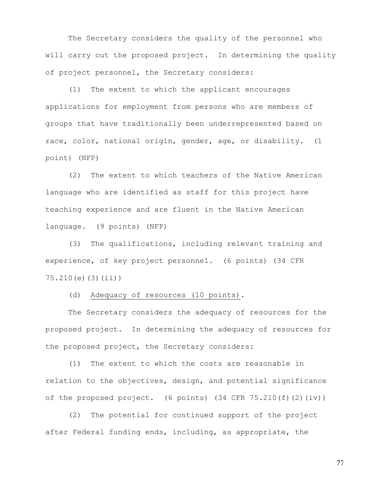The Secretary considers the quality of the personnel who will carry out the proposed project. In determining the quality of project personnel, the Secretary considers:

(1) The extent to which the applicant encourages applications for employment from persons who are members of groups that have traditionally been underrepresented based on race, color, national origin, gender, age, or disability. (1 point) (NFP)

(2) The extent to which teachers of the Native American language who are identified as staff for this project have teaching experience and are fluent in the Native American language. (9 points) (NFP)

(3) The qualifications, including relevant training and experience, of key project personnel. (6 points) (34 CFR 75.210(e)(3)(ii))

(d) Adequacy of resources (10 points).

The Secretary considers the adequacy of resources for the proposed project. In determining the adequacy of resources for the proposed project, the Secretary considers:

(1) The extent to which the costs are reasonable in relation to the objectives, design, and potential significance of the proposed project. (6 points) (34 CFR 75.210(f)(2)(iv))

(2) The potential for continued support of the project after Federal funding ends, including, as appropriate, the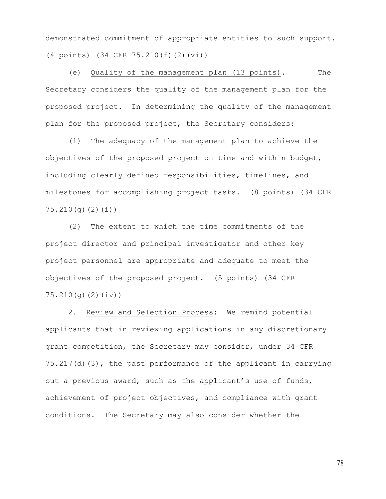demonstrated commitment of appropriate entities to such support. (4 points) (34 CFR 75.210(f)(2)(vi))

(e) Quality of the management plan (13 points). The Secretary considers the quality of the management plan for the proposed project. In determining the quality of the management plan for the proposed project, the Secretary considers:

(1) The adequacy of the management plan to achieve the objectives of the proposed project on time and within budget, including clearly defined responsibilities, timelines, and milestones for accomplishing project tasks. (8 points) (34 CFR 75.210(g)(2)(i))

(2) The extent to which the time commitments of the project director and principal investigator and other key project personnel are appropriate and adequate to meet the objectives of the proposed project. (5 points) (34 CFR 75.210(g)(2)(iv))

 2. Review and Selection Process:We remind potential applicants that in reviewing applications in any discretionary grant competition, the Secretary may consider, under 34 CFR 75.217(d)(3), the past performance of the applicant in carrying out a previous award, such as the applicant's use of funds, achievement of project objectives, and compliance with grant conditions. The Secretary may also consider whether the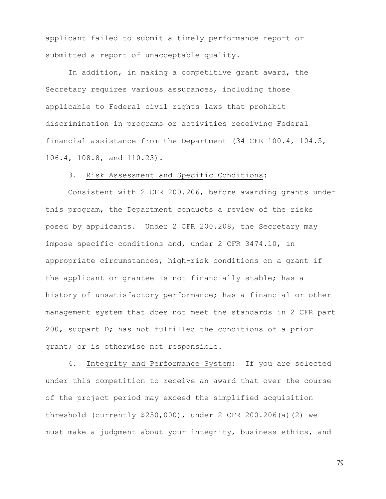applicant failed to submit a timely performance report or submitted a report of unacceptable quality.

 In addition, in making a competitive grant award, the Secretary requires various assurances, including those applicable to Federal civil rights laws that prohibit discrimination in programs or activities receiving Federal financial assistance from the Department (34 CFR 100.4, 104.5, 106.4, 108.8, and 110.23).

## 3. Risk Assessment and Specific Conditions:

Consistent with 2 CFR 200.206, before awarding grants under this program, the Department conducts a review of the risks posed by applicants. Under 2 CFR 200.208, the Secretary may impose specific conditions and, under 2 CFR 3474.10, in appropriate circumstances, high-risk conditions on a grant if the applicant or grantee is not financially stable; has a history of unsatisfactory performance; has a financial or other management system that does not meet the standards in 2 CFR part 200, subpart D; has not fulfilled the conditions of a prior grant; or is otherwise not responsible.

4. Integrity and Performance System: If you are selected under this competition to receive an award that over the course of the project period may exceed the simplified acquisition threshold (currently \$250,000), under 2 CFR 200.206(a)(2) we must make a judgment about your integrity, business ethics, and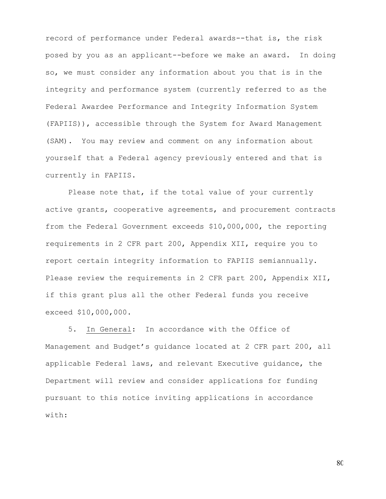record of performance under Federal awards--that is, the risk posed by you as an applicant--before we make an award. In doing so, we must consider any information about you that is in the integrity and performance system (currently referred to as the Federal Awardee Performance and Integrity Information System (FAPIIS)), accessible through the System for Award Management (SAM). You may review and comment on any information about yourself that a Federal agency previously entered and that is currently in FAPIIS.

 Please note that, if the total value of your currently active grants, cooperative agreements, and procurement contracts from the Federal Government exceeds \$10,000,000, the reporting requirements in 2 CFR part 200, Appendix XII, require you to report certain integrity information to FAPIIS semiannually. Please review the requirements in 2 CFR part 200, Appendix XII, if this grant plus all the other Federal funds you receive exceed \$10,000,000.

5. In General: In accordance with the Office of Management and Budget's guidance located at 2 CFR part 200, all applicable Federal laws, and relevant Executive guidance, the Department will review and consider applications for funding pursuant to this notice inviting applications in accordance with: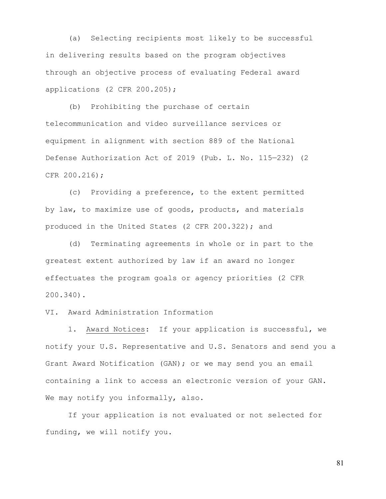(a) Selecting recipients most likely to be successful in delivering results based on the program objectives through an objective process of evaluating Federal award applications (2 CFR 200.205);

(b) Prohibiting the purchase of certain telecommunication and video surveillance services or equipment in alignment with section 889 of the National Defense Authorization Act of 2019 (Pub. L. No. 115—232) (2 CFR 200.216);

(c) Providing a preference, to the extent permitted by law, to maximize use of goods, products, and materials produced in the United States (2 CFR 200.322); and

 (d) Terminating agreements in whole or in part to the greatest extent authorized by law if an award no longer effectuates the program goals or agency priorities (2 CFR 200.340).

VI. Award Administration Information

 1. Award Notices: If your application is successful, we notify your U.S. Representative and U.S. Senators and send you a Grant Award Notification (GAN); or we may send you an email containing a link to access an electronic version of your GAN. We may notify you informally, also.

 If your application is not evaluated or not selected for funding, we will notify you.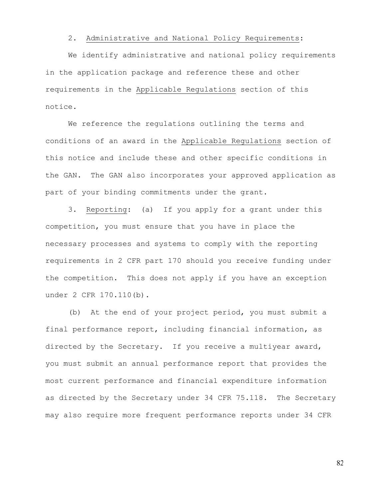## 2. Administrative and National Policy Requirements:

 We identify administrative and national policy requirements in the application package and reference these and other requirements in the Applicable Regulations section of this notice.

 We reference the regulations outlining the terms and conditions of an award in the Applicable Regulations section of this notice and include these and other specific conditions in the GAN. The GAN also incorporates your approved application as part of your binding commitments under the grant.

3. Reporting: (a) If you apply for a grant under this competition, you must ensure that you have in place the necessary processes and systems to comply with the reporting requirements in 2 CFR part 170 should you receive funding under the competition. This does not apply if you have an exception under 2 CFR 170.110(b).

(b) At the end of your project period, you must submit a final performance report, including financial information, as directed by the Secretary. If you receive a multiyear award, you must submit an annual performance report that provides the most current performance and financial expenditure information as directed by the Secretary under 34 CFR 75.118. The Secretary may also require more frequent performance reports under 34 CFR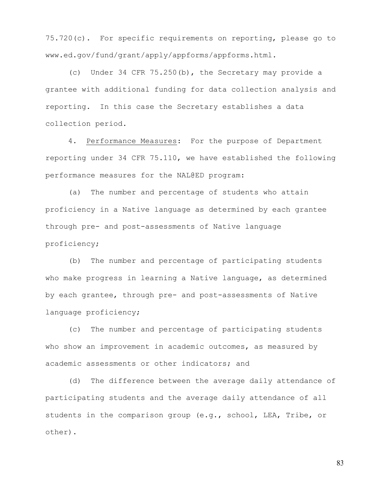75.720(c). For specific requirements on reporting, please go to www.ed.gov/fund/grant/apply/appforms/appforms.html.

(c) Under 34 CFR 75.250(b), the Secretary may provide a grantee with additional funding for data collection analysis and reporting. In this case the Secretary establishes a data collection period.

4. Performance Measures: For the purpose of Department reporting under 34 CFR 75.110, we have established the following performance measures for the NAL@ED program:

(a) The number and percentage of students who attain proficiency in a Native language as determined by each grantee through pre- and post-assessments of Native language proficiency;

(b) The number and percentage of participating students who make progress in learning a Native language, as determined by each grantee, through pre- and post-assessments of Native language proficiency;

(c) The number and percentage of participating students who show an improvement in academic outcomes, as measured by academic assessments or other indicators; and

(d) The difference between the average daily attendance of participating students and the average daily attendance of all students in the comparison group (e.g., school, LEA, Tribe, or other).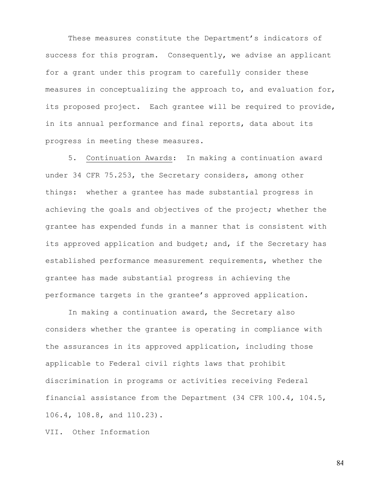These measures constitute the Department's indicators of success for this program. Consequently, we advise an applicant for a grant under this program to carefully consider these measures in conceptualizing the approach to, and evaluation for, its proposed project. Each grantee will be required to provide, in its annual performance and final reports, data about its progress in meeting these measures.

5. Continuation Awards: In making a continuation award under 34 CFR 75.253, the Secretary considers, among other things: whether a grantee has made substantial progress in achieving the goals and objectives of the project; whether the grantee has expended funds in a manner that is consistent with its approved application and budget; and, if the Secretary has established performance measurement requirements, whether the grantee has made substantial progress in achieving the performance targets in the grantee's approved application.

In making a continuation award, the Secretary also considers whether the grantee is operating in compliance with the assurances in its approved application, including those applicable to Federal civil rights laws that prohibit discrimination in programs or activities receiving Federal financial assistance from the Department (34 CFR 100.4, 104.5, 106.4, 108.8, and 110.23).

VII. Other Information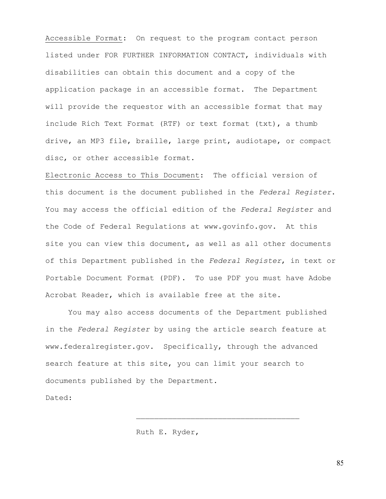Accessible Format: On request to the program contact person listed under FOR FURTHER INFORMATION CONTACT, individuals with disabilities can obtain this document and a copy of the application package in an accessible format. The Department will provide the requestor with an accessible format that may include Rich Text Format (RTF) or text format (txt), a thumb drive, an MP3 file, braille, large print, audiotape, or compact disc, or other accessible format.

Electronic Access to This Document: The official version of this document is the document published in the *Federal Register*. You may access the official edition of the *Federal Register* and the Code of Federal Regulations at www.govinfo.gov. At this site you can view this document, as well as all other documents of this Department published in the *Federal Register*, in text or Portable Document Format (PDF). To use PDF you must have Adobe Acrobat Reader, which is available free at the site.

 You may also access documents of the Department published in the *Federal Register* by using the article search feature at www.federalregister.gov. Specifically, through the advanced search feature at this site, you can limit your search to documents published by the Department.

\_\_\_\_\_\_\_\_\_\_\_\_\_\_\_\_\_\_\_\_\_\_\_\_\_\_\_\_\_\_\_\_\_\_\_\_

Dated:

Ruth E. Ryder,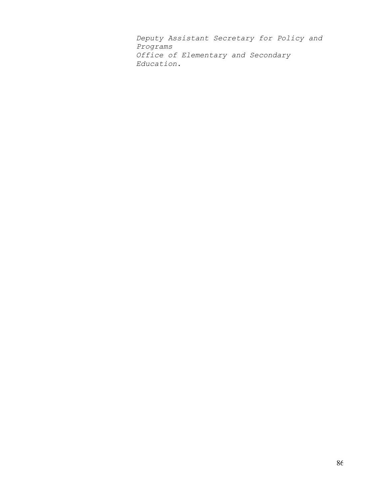*Deputy Assistant Secretary for Policy and Programs Office of Elementary and Secondary Education*.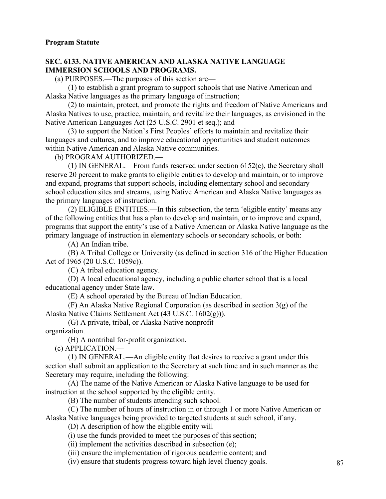## **SEC. 6133. NATIVE AMERICAN AND ALASKA NATIVE LANGUAGE IMMERSION SCHOOLS AND PROGRAMS.**

(a) PURPOSES.—The purposes of this section are—

(1) to establish a grant program to support schools that use Native American and Alaska Native languages as the primary language of instruction;

(2) to maintain, protect, and promote the rights and freedom of Native Americans and Alaska Natives to use, practice, maintain, and revitalize their languages, as envisioned in the Native American Languages Act (25 U.S.C. 2901 et seq.); and

(3) to support the Nation's First Peoples' efforts to maintain and revitalize their languages and cultures, and to improve educational opportunities and student outcomes within Native American and Alaska Native communities.

(b) PROGRAM AUTHORIZED.—

(1) IN GENERAL.—From funds reserved under section 6152(c), the Secretary shall reserve 20 percent to make grants to eligible entities to develop and maintain, or to improve and expand, programs that support schools, including elementary school and secondary school education sites and streams, using Native American and Alaska Native languages as the primary languages of instruction.

(2) ELIGIBLE ENTITIES.—In this subsection, the term 'eligible entity' means any of the following entities that has a plan to develop and maintain, or to improve and expand, programs that support the entity's use of a Native American or Alaska Native language as the primary language of instruction in elementary schools or secondary schools, or both:

(A) An Indian tribe.

(B) A Tribal College or University (as defined in section 316 of the Higher Education Act of 1965 (20 U.S.C. 1059c)).

(C) A tribal education agency.

(D) A local educational agency, including a public charter school that is a local educational agency under State law.

(E) A school operated by the Bureau of Indian Education.

(F) An Alaska Native Regional Corporation (as described in section 3(g) of the Alaska Native Claims Settlement Act (43 U.S.C. 1602(g))).

(G) A private, tribal, or Alaska Native nonprofit

organization.

(H) A nontribal for-profit organization.

(c) APPLICATION.—

(1) IN GENERAL.—An eligible entity that desires to receive a grant under this section shall submit an application to the Secretary at such time and in such manner as the Secretary may require, including the following:

(A) The name of the Native American or Alaska Native language to be used for instruction at the school supported by the eligible entity.

(B) The number of students attending such school.

(C) The number of hours of instruction in or through 1 or more Native American or Alaska Native languages being provided to targeted students at such school, if any.

(D) A description of how the eligible entity will—

(i) use the funds provided to meet the purposes of this section;

(ii) implement the activities described in subsection (e);

(iii) ensure the implementation of rigorous academic content; and

(iv) ensure that students progress toward high level fluency goals.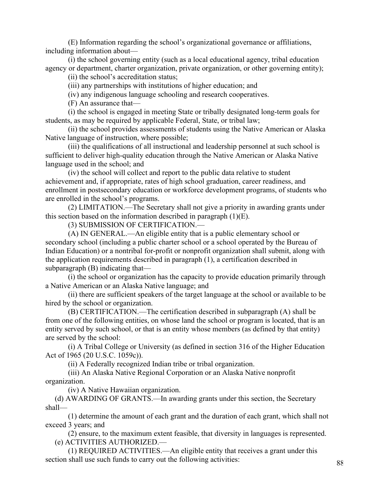(E) Information regarding the school's organizational governance or affiliations, including information about—

(i) the school governing entity (such as a local educational agency, tribal education agency or department, charter organization, private organization, or other governing entity);

(ii) the school's accreditation status;

(iii) any partnerships with institutions of higher education; and

(iv) any indigenous language schooling and research cooperatives.

(F) An assurance that—

(i) the school is engaged in meeting State or tribally designated long-term goals for students, as may be required by applicable Federal, State, or tribal law;

(ii) the school provides assessments of students using the Native American or Alaska Native language of instruction, where possible;

(iii) the qualifications of all instructional and leadership personnel at such school is sufficient to deliver high-quality education through the Native American or Alaska Native language used in the school; and

(iv) the school will collect and report to the public data relative to student achievement and, if appropriate, rates of high school graduation, career readiness, and enrollment in postsecondary education or workforce development programs, of students who are enrolled in the school's programs.

(2) LIMITATION.—The Secretary shall not give a priority in awarding grants under this section based on the information described in paragraph  $(1)(E)$ .

(3) SUBMISSION OF CERTIFICATION.—

(A) IN GENERAL.—An eligible entity that is a public elementary school or secondary school (including a public charter school or a school operated by the Bureau of Indian Education) or a nontribal for-profit or nonprofit organization shall submit, along with the application requirements described in paragraph (1), a certification described in subparagraph (B) indicating that—

(i) the school or organization has the capacity to provide education primarily through a Native American or an Alaska Native language; and

(ii) there are sufficient speakers of the target language at the school or available to be hired by the school or organization.

(B) CERTIFICATION.—The certification described in subparagraph (A) shall be from one of the following entities, on whose land the school or program is located, that is an entity served by such school, or that is an entity whose members (as defined by that entity) are served by the school:

(i) A Tribal College or University (as defined in section 316 of the Higher Education Act of 1965 (20 U.S.C. 1059c)).

(ii) A Federally recognized Indian tribe or tribal organization.

(iii) An Alaska Native Regional Corporation or an Alaska Native nonprofit organization.

(iv) A Native Hawaiian organization.

 (d) AWARDING OF GRANTS.—In awarding grants under this section, the Secretary shall—

(1) determine the amount of each grant and the duration of each grant, which shall not exceed 3 years; and

(2) ensure, to the maximum extent feasible, that diversity in languages is represented. (e) ACTIVITIES AUTHORIZED.—

(1) REQUIRED ACTIVITIES.—An eligible entity that receives a grant under this section shall use such funds to carry out the following activities: